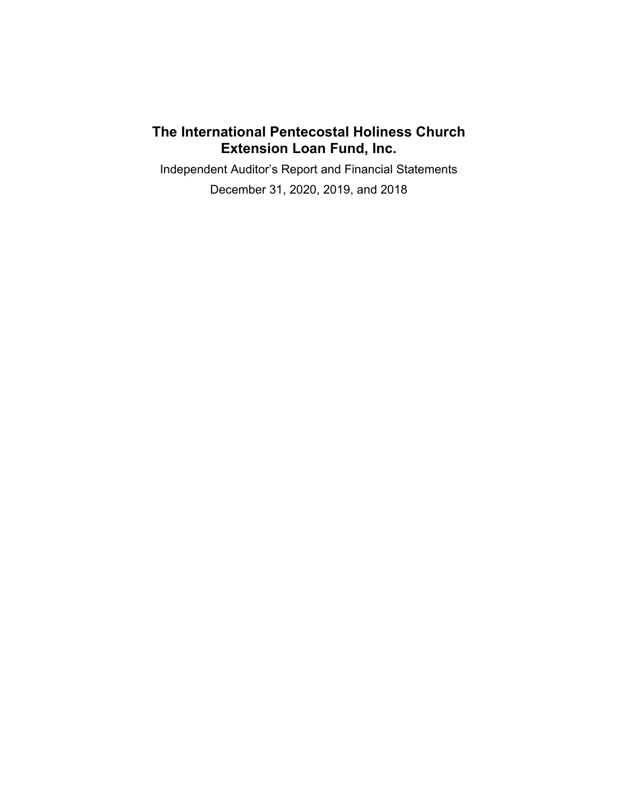Independent Auditor's Report and Financial Statements

December 31, 2020, 2019, and 2018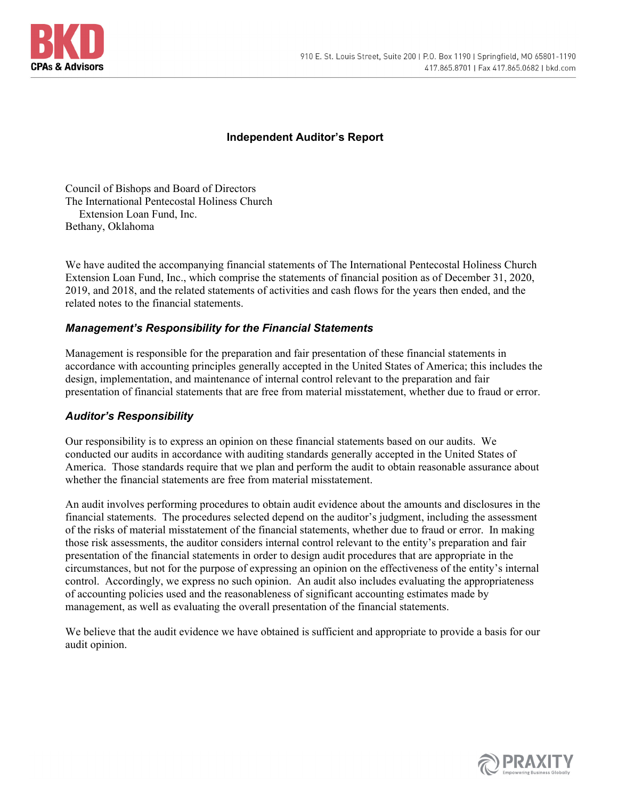

### **Independent Auditor's Report**

Council of Bishops and Board of Directors The International Pentecostal Holiness Church Extension Loan Fund, Inc. Bethany, Oklahoma

We have audited the accompanying financial statements of The International Pentecostal Holiness Church Extension Loan Fund, Inc., which comprise the statements of financial position as of December 31, 2020, 2019, and 2018, and the related statements of activities and cash flows for the years then ended, and the related notes to the financial statements.

### *Management's Responsibility for the Financial Statements*

Management is responsible for the preparation and fair presentation of these financial statements in accordance with accounting principles generally accepted in the United States of America; this includes the design, implementation, and maintenance of internal control relevant to the preparation and fair presentation of financial statements that are free from material misstatement, whether due to fraud or error.

### *Auditor's Responsibility*

Our responsibility is to express an opinion on these financial statements based on our audits. We conducted our audits in accordance with auditing standards generally accepted in the United States of America. Those standards require that we plan and perform the audit to obtain reasonable assurance about whether the financial statements are free from material misstatement.

An audit involves performing procedures to obtain audit evidence about the amounts and disclosures in the financial statements. The procedures selected depend on the auditor's judgment, including the assessment of the risks of material misstatement of the financial statements, whether due to fraud or error. In making those risk assessments, the auditor considers internal control relevant to the entity's preparation and fair presentation of the financial statements in order to design audit procedures that are appropriate in the circumstances, but not for the purpose of expressing an opinion on the effectiveness of the entity's internal control. Accordingly, we express no such opinion. An audit also includes evaluating the appropriateness of accounting policies used and the reasonableness of significant accounting estimates made by management, as well as evaluating the overall presentation of the financial statements.

We believe that the audit evidence we have obtained is sufficient and appropriate to provide a basis for our audit opinion.

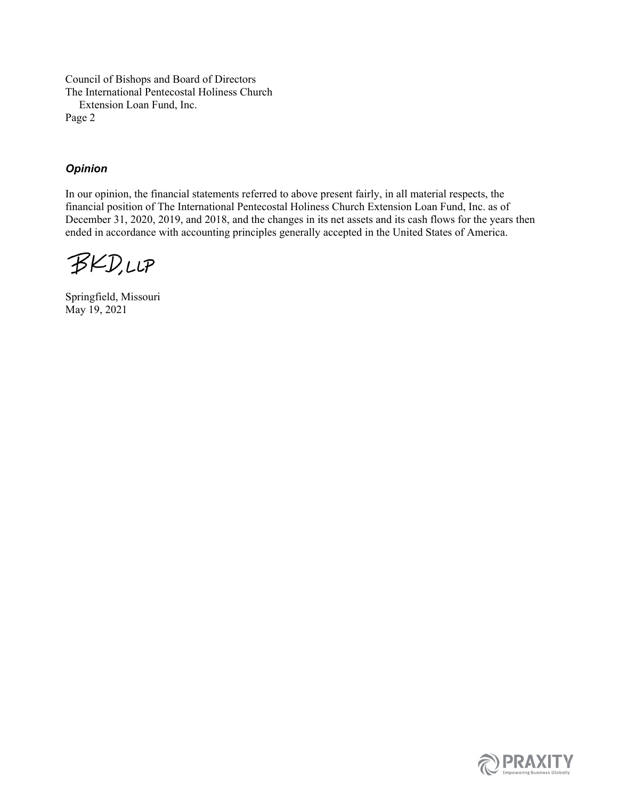Council of Bishops and Board of Directors The International Pentecostal Holiness Church Extension Loan Fund, Inc. Page 2

#### *Opinion*

In our opinion, the financial statements referred to above present fairly, in all material respects, the financial position of The International Pentecostal Holiness Church Extension Loan Fund, Inc. as of December 31, 2020, 2019, and 2018, and the changes in its net assets and its cash flows for the years then ended in accordance with accounting principles generally accepted in the United States of America.

**BKD,LLP** 

Springfield, Missouri May 19, 2021

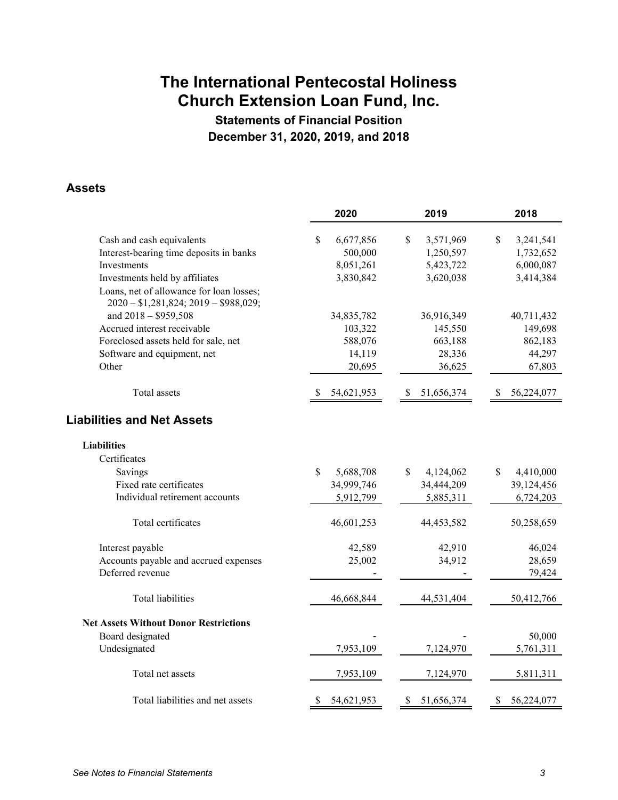**Statements of Financial Position December 31, 2020, 2019, and 2018** 

## **Assets**

|                                                                                   | 2020             | 2019                      | 2018             |
|-----------------------------------------------------------------------------------|------------------|---------------------------|------------------|
| Cash and cash equivalents                                                         | \$<br>6,677,856  | $\mathbb{S}$<br>3,571,969 | \$<br>3,241,541  |
| Interest-bearing time deposits in banks                                           | 500,000          | 1,250,597                 | 1,732,652        |
| Investments                                                                       | 8,051,261        | 5,423,722                 | 6,000,087        |
| Investments held by affiliates                                                    | 3,830,842        | 3,620,038                 | 3,414,384        |
| Loans, net of allowance for loan losses;<br>$2020 - $1,281,824; 2019 - $988,029;$ |                  |                           |                  |
| and 2018 - \$959,508                                                              | 34,835,782       | 36,916,349                | 40,711,432       |
| Accrued interest receivable                                                       | 103,322          | 145,550                   | 149,698          |
| Foreclosed assets held for sale, net                                              | 588,076          | 663,188                   | 862,183          |
| Software and equipment, net                                                       | 14,119           | 28,336                    | 44,297           |
| Other                                                                             | 20,695           | 36,625                    | 67,803           |
| Total assets                                                                      | 54,621,953       | 51,656,374<br>S           | 56,224,077<br>S  |
| <b>Liabilities and Net Assets</b>                                                 |                  |                           |                  |
| <b>Liabilities</b>                                                                |                  |                           |                  |
| Certificates                                                                      |                  |                           |                  |
| Savings                                                                           | \$<br>5,688,708  | \$<br>4,124,062           | 4,410,000<br>\$  |
| Fixed rate certificates                                                           | 34,999,746       | 34,444,209                | 39,124,456       |
| Individual retirement accounts                                                    | 5,912,799        | 5,885,311                 | 6,724,203        |
| Total certificates                                                                | 46,601,253       | 44,453,582                | 50,258,659       |
| Interest payable                                                                  | 42,589           | 42,910                    | 46,024           |
| Accounts payable and accrued expenses                                             | 25,002           | 34,912                    | 28,659           |
| Deferred revenue                                                                  |                  |                           | 79,424           |
| <b>Total liabilities</b>                                                          | 46,668,844       | 44,531,404                | 50,412,766       |
| <b>Net Assets Without Donor Restrictions</b>                                      |                  |                           |                  |
| Board designated                                                                  |                  |                           | 50,000           |
| Undesignated                                                                      | 7,953,109        | 7,124,970                 | 5,761,311        |
| Total net assets                                                                  | 7,953,109        | 7,124,970                 | 5,811,311        |
| Total liabilities and net assets                                                  | 54,621,953<br>\$ | \$<br>51,656,374          | 56,224,077<br>\$ |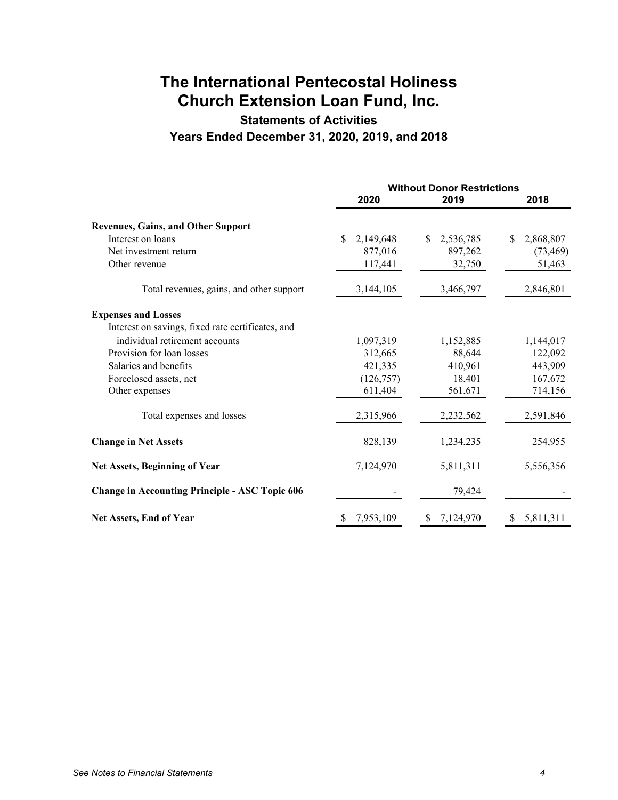## **Statements of Activities Years Ended December 31, 2020, 2019, and 2018**

|                                                       | <b>Without Donor Restrictions</b> |                 |                  |  |  |  |  |
|-------------------------------------------------------|-----------------------------------|-----------------|------------------|--|--|--|--|
|                                                       | 2020                              | 2019            | 2018             |  |  |  |  |
| <b>Revenues, Gains, and Other Support</b>             |                                   |                 |                  |  |  |  |  |
| Interest on loans                                     | \$<br>2,149,648                   | \$<br>2,536,785 | 2,868,807<br>\$. |  |  |  |  |
| Net investment return                                 | 877,016                           | 897,262         | (73, 469)        |  |  |  |  |
| Other revenue                                         | 117,441                           | 32,750          | 51,463           |  |  |  |  |
| Total revenues, gains, and other support              | 3,144,105                         | 3,466,797       | 2,846,801        |  |  |  |  |
| <b>Expenses and Losses</b>                            |                                   |                 |                  |  |  |  |  |
| Interest on savings, fixed rate certificates, and     |                                   |                 |                  |  |  |  |  |
| individual retirement accounts                        | 1,097,319                         | 1,152,885       | 1,144,017        |  |  |  |  |
| Provision for loan losses                             | 312,665                           | 88,644          | 122,092          |  |  |  |  |
| Salaries and benefits                                 | 421,335                           | 410,961         | 443,909          |  |  |  |  |
| Foreclosed assets, net                                | (126, 757)                        | 18,401          | 167,672          |  |  |  |  |
| Other expenses                                        | 611,404                           | 561,671         | 714,156          |  |  |  |  |
| Total expenses and losses                             | 2,315,966                         | 2,232,562       | 2,591,846        |  |  |  |  |
| <b>Change in Net Assets</b>                           | 828,139                           | 1,234,235       | 254,955          |  |  |  |  |
| <b>Net Assets, Beginning of Year</b>                  | 7,124,970                         | 5,811,311       | 5,556,356        |  |  |  |  |
| <b>Change in Accounting Principle - ASC Topic 606</b> |                                   | 79,424          |                  |  |  |  |  |
| Net Assets, End of Year                               | 7,953,109                         | 7,124,970       | 5,811,311        |  |  |  |  |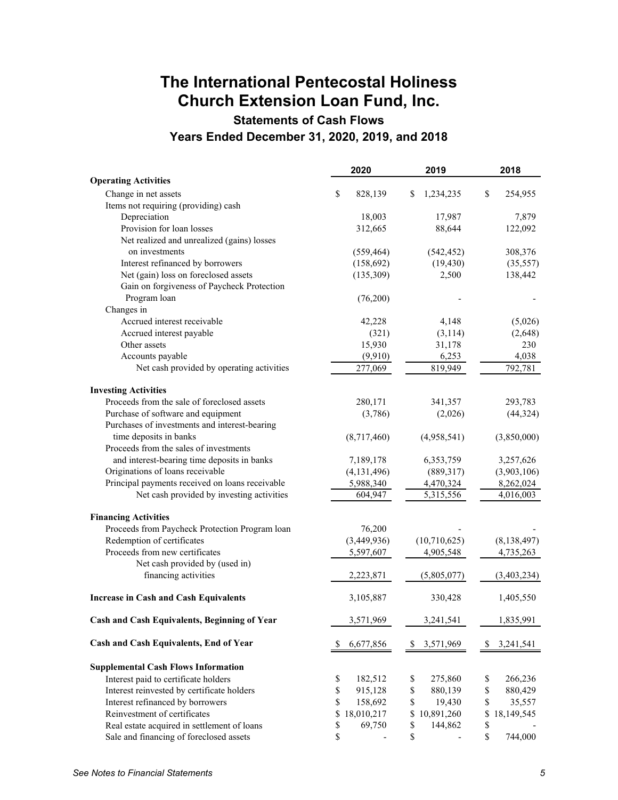**Statements of Cash Flows Years Ended December 31, 2020, 2019, and 2018** 

|                                                                            | 2020             | 2019             | 2018               |
|----------------------------------------------------------------------------|------------------|------------------|--------------------|
| <b>Operating Activities</b>                                                |                  |                  |                    |
| Change in net assets                                                       | \$<br>828,139    | S<br>1,234,235   | \$<br>254,955      |
| Items not requiring (providing) cash                                       |                  |                  |                    |
| Depreciation                                                               | 18,003           | 17,987           | 7,879              |
| Provision for loan losses                                                  | 312,665          | 88,644           | 122,092            |
| Net realized and unrealized (gains) losses                                 |                  |                  |                    |
| on investments                                                             | (559, 464)       | (542, 452)       | 308,376            |
| Interest refinanced by borrowers                                           | (158, 692)       | (19, 430)        | (35, 557)          |
| Net (gain) loss on foreclosed assets                                       | (135,309)        | 2,500            | 138,442            |
| Gain on forgiveness of Paycheck Protection                                 |                  |                  |                    |
| Program loan                                                               | (76,200)         |                  |                    |
| Changes in                                                                 |                  |                  |                    |
| Accrued interest receivable                                                | 42,228           | 4,148            | (5,026)            |
| Accrued interest payable                                                   | (321)            | (3,114)          | (2,648)            |
| Other assets                                                               | 15,930           | 31,178           | 230                |
| Accounts payable                                                           | (9,910)          | 6,253            | 4,038              |
| Net cash provided by operating activities                                  | 277,069          | 819,949          | 792,781            |
|                                                                            |                  |                  |                    |
| <b>Investing Activities</b><br>Proceeds from the sale of foreclosed assets | 280,171          | 341,357          | 293,783            |
| Purchase of software and equipment                                         | (3,786)          | (2,026)          | (44, 324)          |
| Purchases of investments and interest-bearing                              |                  |                  |                    |
| time deposits in banks                                                     | (8,717,460)      | (4,958,541)      | (3,850,000)        |
| Proceeds from the sales of investments                                     |                  |                  |                    |
| and interest-bearing time deposits in banks                                | 7,189,178        | 6,353,759        | 3,257,626          |
| Originations of loans receivable                                           | (4, 131, 496)    | (889,317)        | (3,903,106)        |
| Principal payments received on loans receivable                            | 5,988,340        | 4,470,324        | 8,262,024          |
| Net cash provided by investing activities                                  | 604,947          | 5,315,556        | 4,016,003          |
|                                                                            |                  |                  |                    |
| <b>Financing Activities</b>                                                |                  |                  |                    |
| Proceeds from Paycheck Protection Program loan                             | 76,200           |                  |                    |
| Redemption of certificates                                                 | (3,449,936)      | (10,710,625)     | (8, 138, 497)      |
| Proceeds from new certificates                                             | 5,597,607        | 4,905,548        | 4,735,263          |
| Net cash provided by (used in)                                             |                  |                  |                    |
| financing activities                                                       | 2,223,871        | (5,805,077)      | (3,403,234)        |
| <b>Increase in Cash and Cash Equivalents</b>                               | 3,105,887        | 330,428          | 1,405,550          |
| Cash and Cash Equivalents, Beginning of Year                               | 3,571,969        | 3,241,541        | 1,835,991          |
| Cash and Cash Equivalents, End of Year                                     | 6,677,856<br>\$  | 3,571,969<br>\$  | 3,241,541<br>S.    |
|                                                                            |                  |                  |                    |
| <b>Supplemental Cash Flows Information</b>                                 |                  |                  |                    |
| Interest paid to certificate holders                                       | 182,512<br>\$    | 275,860<br>\$    | 266,236<br>\$      |
| Interest reinvested by certificate holders                                 | \$<br>915,128    | \$<br>880,139    | \$<br>880,429      |
| Interest refinanced by borrowers                                           | \$<br>158,692    | \$<br>19,430     | \$<br>35,557       |
| Reinvestment of certificates                                               | 18,010,217<br>\$ | \$<br>10,891,260 | \$<br>18, 149, 545 |
| Real estate acquired in settlement of loans                                | \$<br>69,750     | \$<br>144,862    | \$                 |
| Sale and financing of foreclosed assets                                    | \$               | \$               | \$<br>744,000      |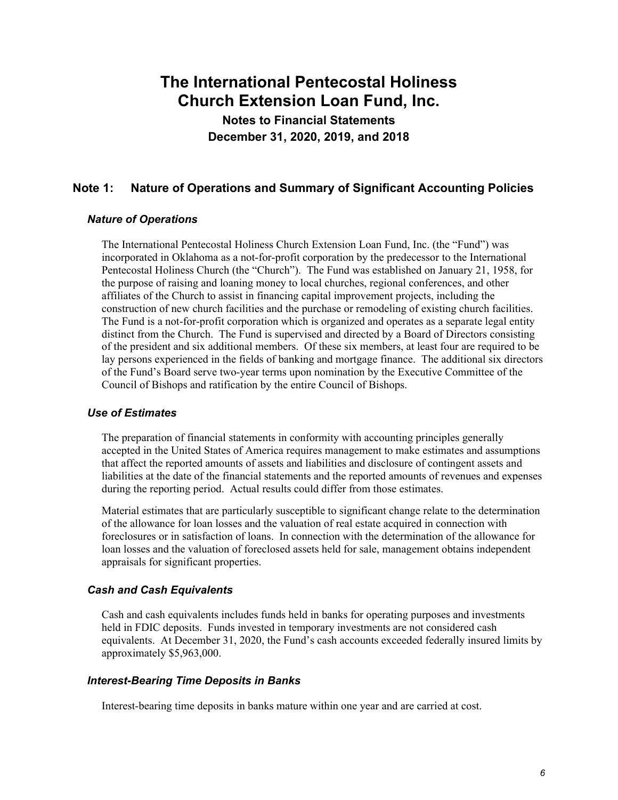**Notes to Financial Statements December 31, 2020, 2019, and 2018** 

### **Note 1: Nature of Operations and Summary of Significant Accounting Policies**

#### *Nature of Operations*

The International Pentecostal Holiness Church Extension Loan Fund, Inc. (the "Fund") was incorporated in Oklahoma as a not-for-profit corporation by the predecessor to the International Pentecostal Holiness Church (the "Church"). The Fund was established on January 21, 1958, for the purpose of raising and loaning money to local churches, regional conferences, and other affiliates of the Church to assist in financing capital improvement projects, including the construction of new church facilities and the purchase or remodeling of existing church facilities. The Fund is a not-for-profit corporation which is organized and operates as a separate legal entity distinct from the Church. The Fund is supervised and directed by a Board of Directors consisting of the president and six additional members. Of these six members, at least four are required to be lay persons experienced in the fields of banking and mortgage finance. The additional six directors of the Fund's Board serve two-year terms upon nomination by the Executive Committee of the Council of Bishops and ratification by the entire Council of Bishops.

#### *Use of Estimates*

The preparation of financial statements in conformity with accounting principles generally accepted in the United States of America requires management to make estimates and assumptions that affect the reported amounts of assets and liabilities and disclosure of contingent assets and liabilities at the date of the financial statements and the reported amounts of revenues and expenses during the reporting period. Actual results could differ from those estimates.

Material estimates that are particularly susceptible to significant change relate to the determination of the allowance for loan losses and the valuation of real estate acquired in connection with foreclosures or in satisfaction of loans. In connection with the determination of the allowance for loan losses and the valuation of foreclosed assets held for sale, management obtains independent appraisals for significant properties.

### *Cash and Cash Equivalents*

Cash and cash equivalents includes funds held in banks for operating purposes and investments held in FDIC deposits. Funds invested in temporary investments are not considered cash equivalents. At December 31, 2020, the Fund's cash accounts exceeded federally insured limits by approximately \$5,963,000.

#### *Interest-Bearing Time Deposits in Banks*

Interest-bearing time deposits in banks mature within one year and are carried at cost.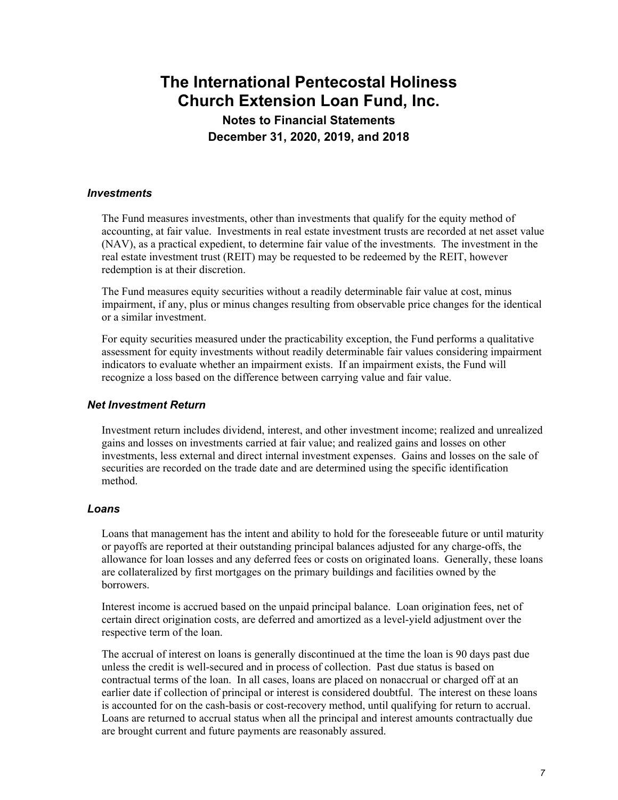**Notes to Financial Statements December 31, 2020, 2019, and 2018** 

#### *Investments*

The Fund measures investments, other than investments that qualify for the equity method of accounting, at fair value. Investments in real estate investment trusts are recorded at net asset value (NAV), as a practical expedient, to determine fair value of the investments. The investment in the real estate investment trust (REIT) may be requested to be redeemed by the REIT, however redemption is at their discretion.

The Fund measures equity securities without a readily determinable fair value at cost, minus impairment, if any, plus or minus changes resulting from observable price changes for the identical or a similar investment.

For equity securities measured under the practicability exception, the Fund performs a qualitative assessment for equity investments without readily determinable fair values considering impairment indicators to evaluate whether an impairment exists. If an impairment exists, the Fund will recognize a loss based on the difference between carrying value and fair value.

#### *Net Investment Return*

Investment return includes dividend, interest, and other investment income; realized and unrealized gains and losses on investments carried at fair value; and realized gains and losses on other investments, less external and direct internal investment expenses. Gains and losses on the sale of securities are recorded on the trade date and are determined using the specific identification method.

### *Loans*

Loans that management has the intent and ability to hold for the foreseeable future or until maturity or payoffs are reported at their outstanding principal balances adjusted for any charge-offs, the allowance for loan losses and any deferred fees or costs on originated loans. Generally, these loans are collateralized by first mortgages on the primary buildings and facilities owned by the borrowers.

Interest income is accrued based on the unpaid principal balance. Loan origination fees, net of certain direct origination costs, are deferred and amortized as a level-yield adjustment over the respective term of the loan.

The accrual of interest on loans is generally discontinued at the time the loan is 90 days past due unless the credit is well-secured and in process of collection. Past due status is based on contractual terms of the loan. In all cases, loans are placed on nonaccrual or charged off at an earlier date if collection of principal or interest is considered doubtful. The interest on these loans is accounted for on the cash-basis or cost-recovery method, until qualifying for return to accrual. Loans are returned to accrual status when all the principal and interest amounts contractually due are brought current and future payments are reasonably assured.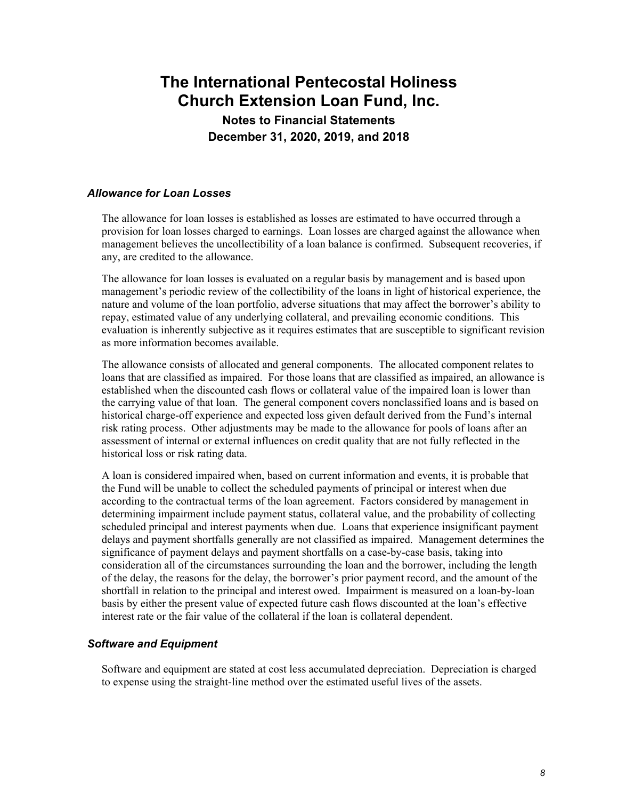**Notes to Financial Statements December 31, 2020, 2019, and 2018** 

#### *Allowance for Loan Losses*

The allowance for loan losses is established as losses are estimated to have occurred through a provision for loan losses charged to earnings. Loan losses are charged against the allowance when management believes the uncollectibility of a loan balance is confirmed. Subsequent recoveries, if any, are credited to the allowance.

The allowance for loan losses is evaluated on a regular basis by management and is based upon management's periodic review of the collectibility of the loans in light of historical experience, the nature and volume of the loan portfolio, adverse situations that may affect the borrower's ability to repay, estimated value of any underlying collateral, and prevailing economic conditions. This evaluation is inherently subjective as it requires estimates that are susceptible to significant revision as more information becomes available.

The allowance consists of allocated and general components. The allocated component relates to loans that are classified as impaired. For those loans that are classified as impaired, an allowance is established when the discounted cash flows or collateral value of the impaired loan is lower than the carrying value of that loan. The general component covers nonclassified loans and is based on historical charge-off experience and expected loss given default derived from the Fund's internal risk rating process. Other adjustments may be made to the allowance for pools of loans after an assessment of internal or external influences on credit quality that are not fully reflected in the historical loss or risk rating data.

A loan is considered impaired when, based on current information and events, it is probable that the Fund will be unable to collect the scheduled payments of principal or interest when due according to the contractual terms of the loan agreement. Factors considered by management in determining impairment include payment status, collateral value, and the probability of collecting scheduled principal and interest payments when due. Loans that experience insignificant payment delays and payment shortfalls generally are not classified as impaired. Management determines the significance of payment delays and payment shortfalls on a case-by-case basis, taking into consideration all of the circumstances surrounding the loan and the borrower, including the length of the delay, the reasons for the delay, the borrower's prior payment record, and the amount of the shortfall in relation to the principal and interest owed. Impairment is measured on a loan-by-loan basis by either the present value of expected future cash flows discounted at the loan's effective interest rate or the fair value of the collateral if the loan is collateral dependent.

### *Software and Equipment*

Software and equipment are stated at cost less accumulated depreciation. Depreciation is charged to expense using the straight-line method over the estimated useful lives of the assets.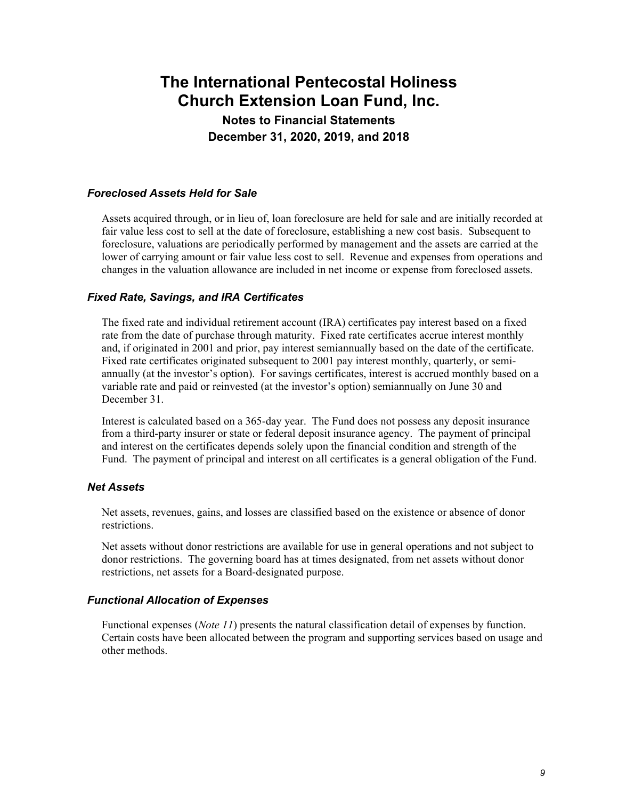**Notes to Financial Statements December 31, 2020, 2019, and 2018** 

#### *Foreclosed Assets Held for Sale*

Assets acquired through, or in lieu of, loan foreclosure are held for sale and are initially recorded at fair value less cost to sell at the date of foreclosure, establishing a new cost basis. Subsequent to foreclosure, valuations are periodically performed by management and the assets are carried at the lower of carrying amount or fair value less cost to sell. Revenue and expenses from operations and changes in the valuation allowance are included in net income or expense from foreclosed assets.

### *Fixed Rate, Savings, and IRA Certificates*

The fixed rate and individual retirement account (IRA) certificates pay interest based on a fixed rate from the date of purchase through maturity. Fixed rate certificates accrue interest monthly and, if originated in 2001 and prior, pay interest semiannually based on the date of the certificate. Fixed rate certificates originated subsequent to 2001 pay interest monthly, quarterly, or semiannually (at the investor's option). For savings certificates, interest is accrued monthly based on a variable rate and paid or reinvested (at the investor's option) semiannually on June 30 and December 31.

Interest is calculated based on a 365-day year. The Fund does not possess any deposit insurance from a third-party insurer or state or federal deposit insurance agency. The payment of principal and interest on the certificates depends solely upon the financial condition and strength of the Fund. The payment of principal and interest on all certificates is a general obligation of the Fund.

#### *Net Assets*

Net assets, revenues, gains, and losses are classified based on the existence or absence of donor restrictions.

Net assets without donor restrictions are available for use in general operations and not subject to donor restrictions. The governing board has at times designated, from net assets without donor restrictions, net assets for a Board-designated purpose.

### *Functional Allocation of Expenses*

Functional expenses (*Note 11*) presents the natural classification detail of expenses by function. Certain costs have been allocated between the program and supporting services based on usage and other methods.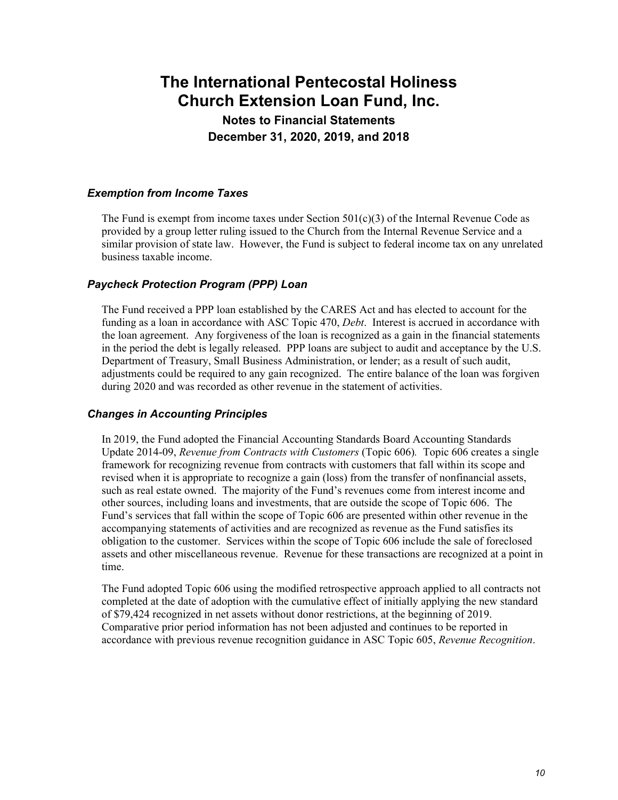**Notes to Financial Statements December 31, 2020, 2019, and 2018** 

#### *Exemption from Income Taxes*

The Fund is exempt from income taxes under Section  $501(c)(3)$  of the Internal Revenue Code as provided by a group letter ruling issued to the Church from the Internal Revenue Service and a similar provision of state law. However, the Fund is subject to federal income tax on any unrelated business taxable income.

#### *Paycheck Protection Program (PPP) Loan*

The Fund received a PPP loan established by the CARES Act and has elected to account for the funding as a loan in accordance with ASC Topic 470, *Debt*. Interest is accrued in accordance with the loan agreement. Any forgiveness of the loan is recognized as a gain in the financial statements in the period the debt is legally released. PPP loans are subject to audit and acceptance by the U.S. Department of Treasury, Small Business Administration, or lender; as a result of such audit, adjustments could be required to any gain recognized. The entire balance of the loan was forgiven during 2020 and was recorded as other revenue in the statement of activities.

### *Changes in Accounting Principles*

In 2019, the Fund adopted the Financial Accounting Standards Board Accounting Standards Update 2014-09, *Revenue from Contracts with Customers* (Topic 606)*.* Topic 606 creates a single framework for recognizing revenue from contracts with customers that fall within its scope and revised when it is appropriate to recognize a gain (loss) from the transfer of nonfinancial assets, such as real estate owned. The majority of the Fund's revenues come from interest income and other sources, including loans and investments, that are outside the scope of Topic 606. The Fund's services that fall within the scope of Topic 606 are presented within other revenue in the accompanying statements of activities and are recognized as revenue as the Fund satisfies its obligation to the customer. Services within the scope of Topic 606 include the sale of foreclosed assets and other miscellaneous revenue. Revenue for these transactions are recognized at a point in time.

The Fund adopted Topic 606 using the modified retrospective approach applied to all contracts not completed at the date of adoption with the cumulative effect of initially applying the new standard of \$79,424 recognized in net assets without donor restrictions, at the beginning of 2019. Comparative prior period information has not been adjusted and continues to be reported in accordance with previous revenue recognition guidance in ASC Topic 605, *Revenue Recognition*.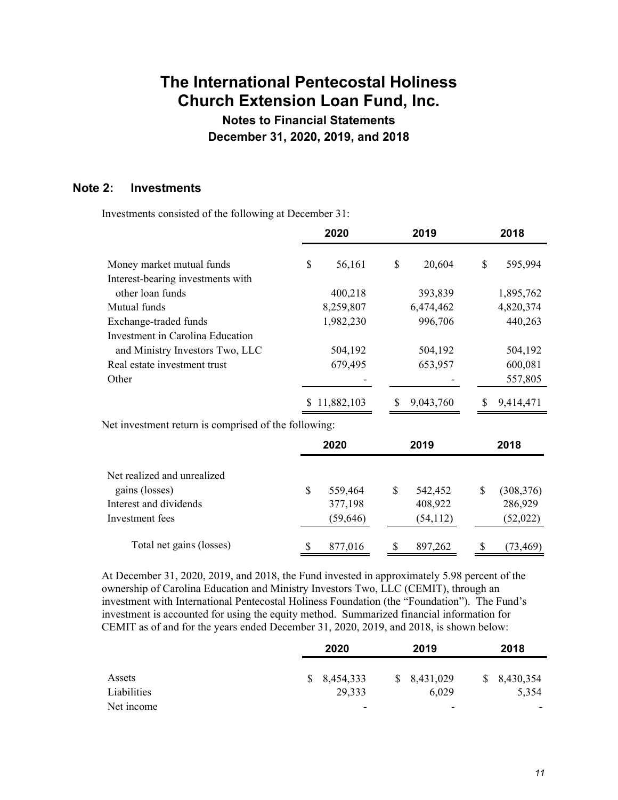## **Notes to Financial Statements December 31, 2020, 2019, and 2018**

### **Note 2: Investments**

Investments consisted of the following at December 31:

|                                                      | 2020 |              |    | 2019      | 2018 |            |  |  |
|------------------------------------------------------|------|--------------|----|-----------|------|------------|--|--|
| Money market mutual funds                            | \$   | 56,161       | \$ | 20,604    | \$   | 595,994    |  |  |
| Interest-bearing investments with                    |      |              |    |           |      |            |  |  |
| other loan funds                                     |      | 400,218      |    | 393,839   |      | 1,895,762  |  |  |
| Mutual funds                                         |      | 8,259,807    |    | 6,474,462 |      | 4,820,374  |  |  |
| Exchange-traded funds                                |      | 1,982,230    |    | 996,706   |      | 440,263    |  |  |
| Investment in Carolina Education                     |      |              |    |           |      |            |  |  |
| and Ministry Investors Two, LLC                      |      | 504,192      |    | 504,192   |      | 504,192    |  |  |
| Real estate investment trust                         |      | 679,495      |    | 653,957   |      | 600,081    |  |  |
| Other                                                |      |              |    |           |      | 557,805    |  |  |
|                                                      |      | \$11,882,103 | S  | 9,043,760 | S    | 9,414,471  |  |  |
| Net investment return is comprised of the following: |      |              |    |           |      |            |  |  |
|                                                      |      | 2020         |    | 2019      |      | 2018       |  |  |
| Net realized and unrealized                          |      |              |    |           |      |            |  |  |
| gains (losses)                                       | \$   | 559,464      | \$ | 542,452   | \$   | (308, 376) |  |  |
| Interest and dividends                               |      | 377,198      |    | 408,922   |      | 286,929    |  |  |
| Investment fees                                      |      | (59, 646)    |    | (54, 112) |      | (52,022)   |  |  |
| Total net gains (losses)                             | \$   | 877,016      | \$ | 897,262   | \$   | (73, 469)  |  |  |

At December 31, 2020, 2019, and 2018, the Fund invested in approximately 5.98 percent of the ownership of Carolina Education and Ministry Investors Two, LLC (CEMIT), through an investment with International Pentecostal Holiness Foundation (the "Foundation"). The Fund's investment is accounted for using the equity method. Summarized financial information for CEMIT as of and for the years ended December 31, 2020, 2019, and 2018, is shown below:

|             |    | 2020      | 2019        | 2018        |
|-------------|----|-----------|-------------|-------------|
| Assets      | S. | 8,454,333 | \$8,431,029 | \$8,430,354 |
| Liabilities |    | 29,333    | 6.029       | 5,354       |
| Net income  |    | -         | -           | -           |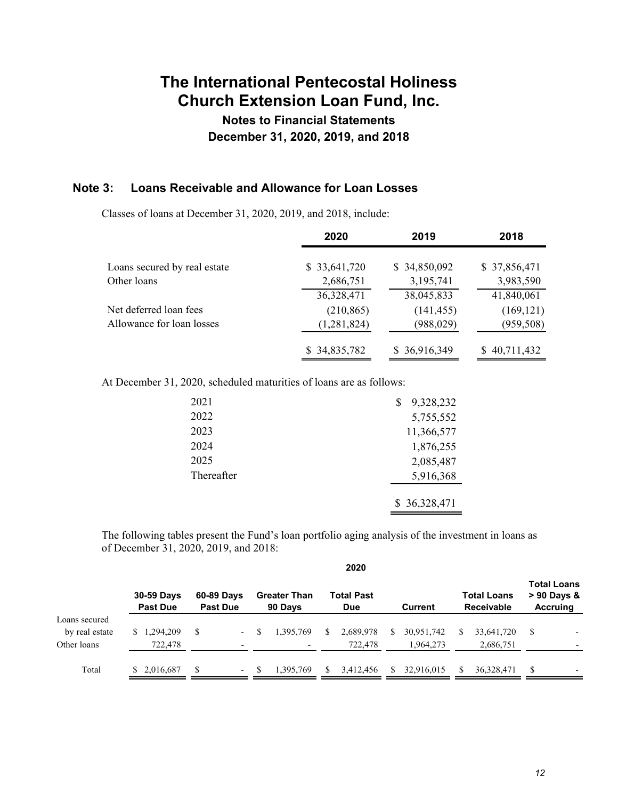## **Notes to Financial Statements December 31, 2020, 2019, and 2018**

### **Note 3: Loans Receivable and Allowance for Loan Losses**

Classes of loans at December 31, 2020, 2019, and 2018, include:

|                              | 2020         | 2019         | 2018         |
|------------------------------|--------------|--------------|--------------|
| Loans secured by real estate | \$33,641,720 | \$34,850,092 | \$37,856,471 |
| Other loans                  | 2,686,751    | 3,195,741    | 3,983,590    |
|                              | 36,328,471   | 38,045,833   | 41,840,061   |
| Net deferred loan fees       | (210, 865)   | (141, 455)   | (169, 121)   |
| Allowance for loan losses    | (1,281,824)  | (988, 029)   | (959, 508)   |
|                              | \$34,835,782 | \$36,916,349 | \$40,711,432 |

At December 31, 2020, scheduled maturities of loans are as follows:

| 2021       | 9,328,232    |
|------------|--------------|
| 2022       | 5,755,552    |
| 2023       | 11,366,577   |
| 2024       | 1,876,255    |
| 2025       | 2,085,487    |
| Thereafter | 5,916,368    |
|            | \$36,328,471 |

The following tables present the Fund's loan portfolio aging analysis of the investment in loans as of December 31, 2020, 2019, and 2018:

**2020**

|                                                |                               |                                          |   |                                       |    | 2020                            |    |                         |                                         |   |                                                       |
|------------------------------------------------|-------------------------------|------------------------------------------|---|---------------------------------------|----|---------------------------------|----|-------------------------|-----------------------------------------|---|-------------------------------------------------------|
|                                                | 30-59 Days<br><b>Past Due</b> | 60-89 Days<br><b>Past Due</b>            |   | <b>Greater Than</b><br>90 Days        |    | <b>Total Past</b><br><b>Due</b> |    | <b>Current</b>          | <b>Total Loans</b><br><b>Receivable</b> |   | <b>Total Loans</b><br>$>90$ Days &<br><b>Accruing</b> |
| Loans secured<br>by real estate<br>Other loans | 1,294,209<br>722,478          | \$<br>$\sim$<br>$\overline{\phantom{a}}$ |   | 1,395,769<br>$\overline{\phantom{0}}$ | S. | 2,689,978<br>722,478            | S. | 30,951,742<br>1.964.273 | 33,641,720<br>2,686,751                 | S |                                                       |
| Total                                          | 2,016,687<br>S.               | \$<br>$\sim$                             | S | 1,395,769                             |    | 3,412,456                       |    | 32,916,015              | 36,328,471                              | S |                                                       |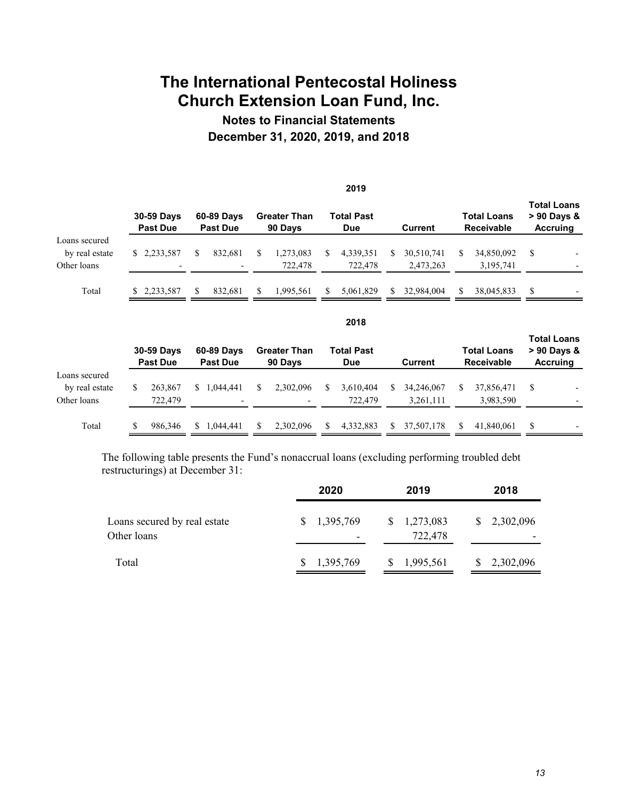## **Notes to Financial Statements December 31, 2020, 2019, and 2018**

**2019**

|                                                |    | 30-59 Days<br><b>Past Due</b> |    | 60-89 Days<br><b>Past Due</b>        |              | <b>Greater Than</b><br>90 Days | <b>Total Past</b><br>Due   |     | <b>Current</b>          |    | <b>Total Loans</b><br><b>Receivable</b> | <b>Total Loans</b><br>> 90 Days &<br>Accruing |
|------------------------------------------------|----|-------------------------------|----|--------------------------------------|--------------|--------------------------------|----------------------------|-----|-------------------------|----|-----------------------------------------|-----------------------------------------------|
| Loans secured<br>by real estate<br>Other loans |    | \$2,233,587                   | \$ | 832,681                              | S.           | 1,273,083<br>722,478           | \$<br>4,339,351<br>722,478 | S.  | 30,510,741<br>2,473,263 | \$ | 34,850,092<br>3,195,741                 | \$                                            |
| Total                                          |    | \$2,233,587                   | S. | 832,681                              | <sup>S</sup> | 1,995,561                      | \$<br>5,061,829            | S   | 32,984,004              | S  | 38,045,833                              | \$                                            |
|                                                |    |                               |    |                                      |              |                                | 2018                       |     |                         |    |                                         |                                               |
|                                                |    | 30-59 Days<br><b>Past Due</b> |    | <b>60-89 Days</b><br><b>Past Due</b> |              | <b>Greater Than</b><br>90 Days | <b>Total Past</b><br>Due   |     | <b>Current</b>          |    | <b>Total Loans</b><br><b>Receivable</b> | <b>Total Loans</b><br>> 90 Days &<br>Accruing |
| Loans secured<br>by real estate<br>Other loans | S. | 263,867<br>722,479            | \$ | 1,044,441                            | \$.          | 2,302,096                      | \$<br>3,610,404<br>722,479 | \$. | 34,246,067<br>3,261,111 | S  | 37,856,471<br>3,983,590                 | \$                                            |
| Total                                          | \$ | 986,346                       | \$ | 1,044,441                            | \$           | 2,302,096                      | \$<br>4,332,883            | S   | 37,507,178              | \$ | 41,840,061                              | \$                                            |

The following table presents the Fund's nonaccrual loans (excluding performing troubled debt restructurings) at December 31:

|                                             | 2020             | 2019                             | 2018        |
|---------------------------------------------|------------------|----------------------------------|-------------|
| Loans secured by real estate<br>Other loans | \$1,395,769<br>- | $\frac{1,273,083}{ }$<br>722,478 | \$2,302,096 |
| Total                                       | 1,395,769        | 1,995,561                        | 2,302,096   |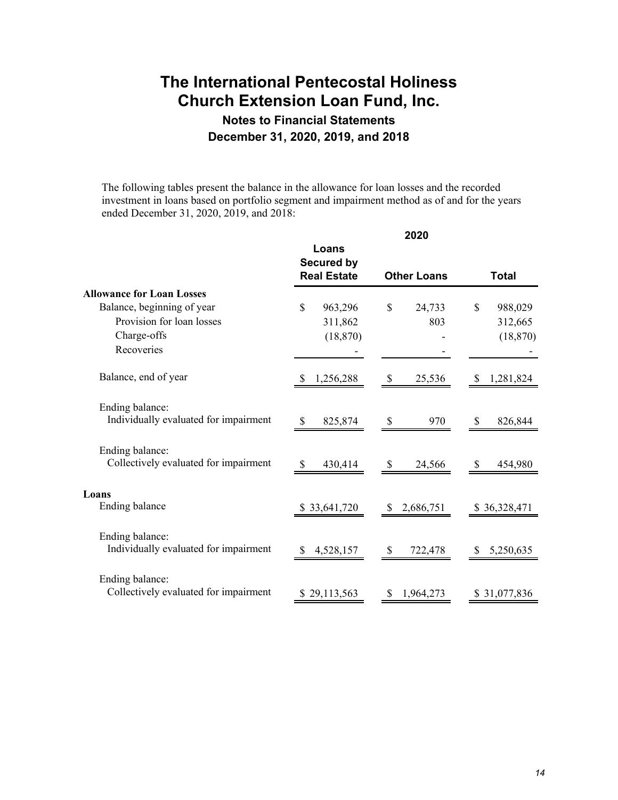## **The International Pentecostal Holiness Church Extension Loan Fund, Inc. Notes to Financial Statements December 31, 2020, 2019, and 2018**

The following tables present the balance in the allowance for loan losses and the recorded investment in loans based on portfolio segment and impairment method as of and for the years ended December 31, 2020, 2019, and 2018:

|                                                          | 2020<br>Loans                           |                    |              |  |  |  |
|----------------------------------------------------------|-----------------------------------------|--------------------|--------------|--|--|--|
|                                                          | <b>Secured by</b><br><b>Real Estate</b> | <b>Other Loans</b> | <b>Total</b> |  |  |  |
| <b>Allowance for Loan Losses</b>                         |                                         |                    |              |  |  |  |
| Balance, beginning of year                               | \$<br>963,296                           | \$<br>24,733       | 988,029<br>S |  |  |  |
| Provision for loan losses                                | 311,862                                 | 803                | 312,665      |  |  |  |
| Charge-offs                                              | (18, 870)                               |                    | (18, 870)    |  |  |  |
| Recoveries                                               |                                         |                    |              |  |  |  |
| Balance, end of year                                     | 1,256,288<br>\$                         | \$<br>25,536       | 1,281,824    |  |  |  |
| Ending balance:<br>Individually evaluated for impairment | 825,874<br>-\$                          | \$<br>970          | 826,844<br>S |  |  |  |
| Ending balance:<br>Collectively evaluated for impairment | $\mathcal{S}$<br>430,414                | 24,566<br>\$       | 454,980      |  |  |  |
| Loans<br>Ending balance                                  | \$33,641,720                            | \$2,686,751        | \$36,328,471 |  |  |  |
| Ending balance:<br>Individually evaluated for impairment | 4,528,157<br><sup>\$</sup>              | \$<br>722,478      | 5,250,635    |  |  |  |
| Ending balance:<br>Collectively evaluated for impairment | \$29,113,563                            | \$<br>1,964,273    | \$31,077,836 |  |  |  |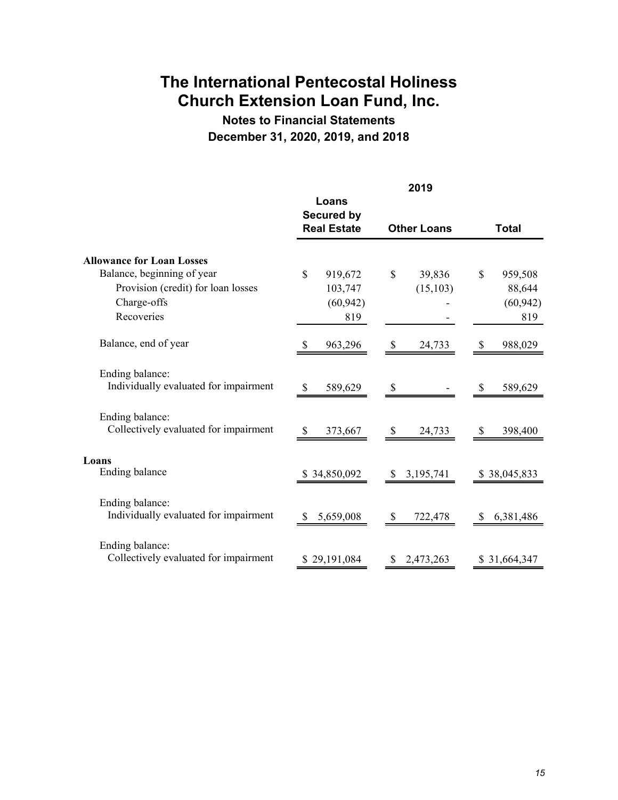**Notes to Financial Statements December 31, 2020, 2019, and 2018** 

|                                                          | 2019                                             |                          |                |  |  |  |
|----------------------------------------------------------|--------------------------------------------------|--------------------------|----------------|--|--|--|
|                                                          | Loans<br><b>Secured by</b><br><b>Real Estate</b> | <b>Other Loans</b>       | <b>Total</b>   |  |  |  |
| <b>Allowance for Loan Losses</b>                         |                                                  |                          |                |  |  |  |
| Balance, beginning of year                               | \$<br>919,672                                    | 39,836<br>\$             | 959,508<br>\$  |  |  |  |
| Provision (credit) for loan losses                       | 103,747                                          | (15, 103)                | 88,644         |  |  |  |
| Charge-offs                                              | (60, 942)                                        |                          | (60, 942)      |  |  |  |
| Recoveries                                               | 819                                              |                          | 819            |  |  |  |
| Balance, end of year                                     | 963,296<br>\$.                                   | $\mathcal{S}$<br>24,733  | 988,029<br>\$  |  |  |  |
| Ending balance:<br>Individually evaluated for impairment | $\mathcal{S}$<br>589,629                         | $\mathbb{S}$             | 589,629        |  |  |  |
| Ending balance:<br>Collectively evaluated for impairment | \$<br>373,667                                    | \$<br>24,733             | 398,400<br>\$  |  |  |  |
| Loans<br>Ending balance                                  | \$34,850,092                                     | \$3,195,741              | \$38,045,833   |  |  |  |
| Ending balance:<br>Individually evaluated for impairment | 5,659,008<br>\$.                                 | $\mathcal{S}$<br>722,478 | 6,381,486<br>S |  |  |  |
| Ending balance:<br>Collectively evaluated for impairment | 29,191,084                                       | 2,473,263                | \$31,664,347   |  |  |  |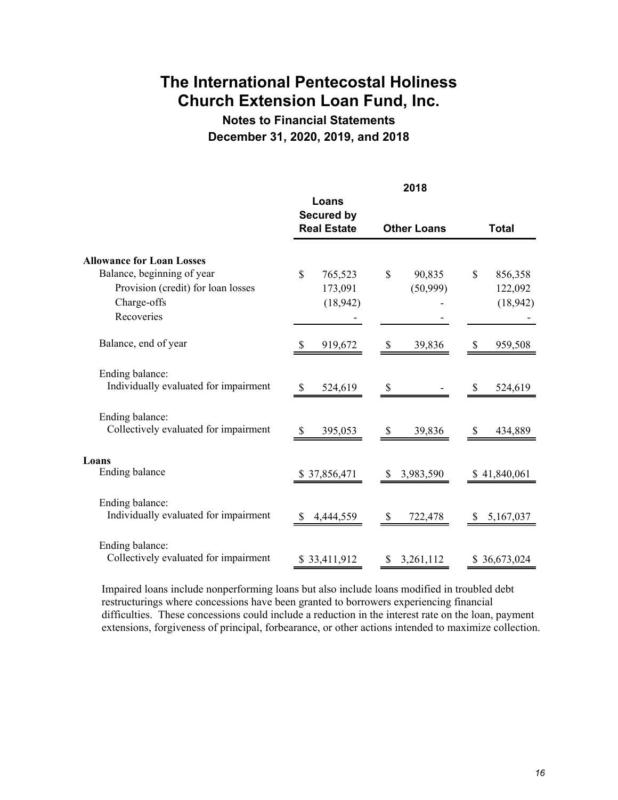**Notes to Financial Statements December 31, 2020, 2019, and 2018** 

|                                                                                 |                                                  | 2018                      |                                       |
|---------------------------------------------------------------------------------|--------------------------------------------------|---------------------------|---------------------------------------|
|                                                                                 | Loans<br><b>Secured by</b><br><b>Real Estate</b> | <b>Other Loans</b>        | <b>Total</b>                          |
| <b>Allowance for Loan Losses</b>                                                |                                                  |                           |                                       |
| Balance, beginning of year<br>Provision (credit) for loan losses<br>Charge-offs | \$<br>765,523<br>173,091<br>(18, 942)            | \$<br>90,835<br>(50, 999) | \$<br>856,358<br>122,092<br>(18, 942) |
| Recoveries                                                                      |                                                  |                           |                                       |
| Balance, end of year                                                            | 919,672<br>-S                                    | 39,836<br>\$              | 959,508<br>S                          |
| Ending balance:<br>Individually evaluated for impairment                        | $\mathbb{S}$<br>524,619                          | \$                        | 524,619                               |
| Ending balance:<br>Collectively evaluated for impairment                        | 395,053<br>-S                                    | 39,836<br>S               | 434,889                               |
| Loans<br>Ending balance                                                         | \$37,856,471                                     | \$3,983,590               | \$41,840,061                          |
| Ending balance:<br>Individually evaluated for impairment                        | 4,444,559                                        | \$<br>722,478             | 5,167,037                             |
| Ending balance:<br>Collectively evaluated for impairment                        | \$33,411,912                                     | 3,261,112<br>\$.          | \$36,673,024                          |

Impaired loans include nonperforming loans but also include loans modified in troubled debt restructurings where concessions have been granted to borrowers experiencing financial difficulties. These concessions could include a reduction in the interest rate on the loan, payment extensions, forgiveness of principal, forbearance, or other actions intended to maximize collection.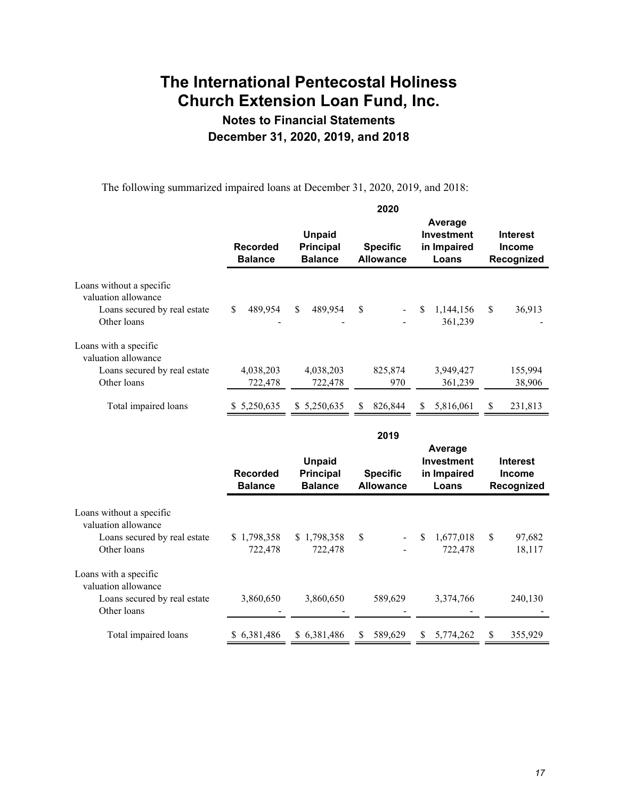## **The International Pentecostal Holiness Church Extension Loan Fund, Inc. Notes to Financial Statements December 31, 2020, 2019, and 2018**

The following summarized impaired loans at December 31, 2020, 2019, and 2018:

|                                                                                                            |                                   |                                                     | 2020                                        |                                                      |                                                |
|------------------------------------------------------------------------------------------------------------|-----------------------------------|-----------------------------------------------------|---------------------------------------------|------------------------------------------------------|------------------------------------------------|
|                                                                                                            | <b>Recorded</b><br><b>Balance</b> | <b>Unpaid</b><br><b>Principal</b><br><b>Balance</b> | <b>Specific</b><br><b>Allowance</b>         | Average<br>Investment<br>in Impaired<br>Loans        | <b>Interest</b><br><b>Income</b><br>Recognized |
| Loans without a specific<br>valuation allowance<br>Loans secured by real estate                            | 489,954<br>\$                     | $\mathbb{S}$<br>489,954                             | \$                                          | 1,144,156<br>S                                       | \$<br>36,913                                   |
| Other loans<br>Loans with a specific<br>valuation allowance<br>Loans secured by real estate<br>Other loans | 4,038,203<br>722,478              | 4,038,203<br>722,478                                | 825,874<br>970                              | 361,239<br>3,949,427<br>361,239                      | 155,994<br>38,906                              |
| Total impaired loans                                                                                       | \$5,250,635                       | \$5,250,635                                         | 826,844<br>S                                | 5,816,061<br>S                                       | \$<br>231,813                                  |
|                                                                                                            |                                   |                                                     |                                             |                                                      |                                                |
|                                                                                                            | <b>Recorded</b><br><b>Balance</b> | <b>Unpaid</b><br><b>Principal</b><br><b>Balance</b> | 2019<br><b>Specific</b><br><b>Allowance</b> | <b>Average</b><br>Investment<br>in Impaired<br>Loans | <b>Interest</b><br><b>Income</b><br>Recognized |
| Loans without a specific<br>valuation allowance<br>Loans secured by real estate<br>Other loans             | \$1,798,358<br>722,478            | \$1,798,358<br>722,478                              | \$                                          | \$<br>1,677,018<br>722,478                           | \$<br>97,682<br>18,117                         |
| Loans with a specific<br>valuation allowance<br>Loans secured by real estate<br>Other loans                | 3,860,650                         | 3,860,650                                           | 589,629                                     | 3,374,766                                            | 240,130                                        |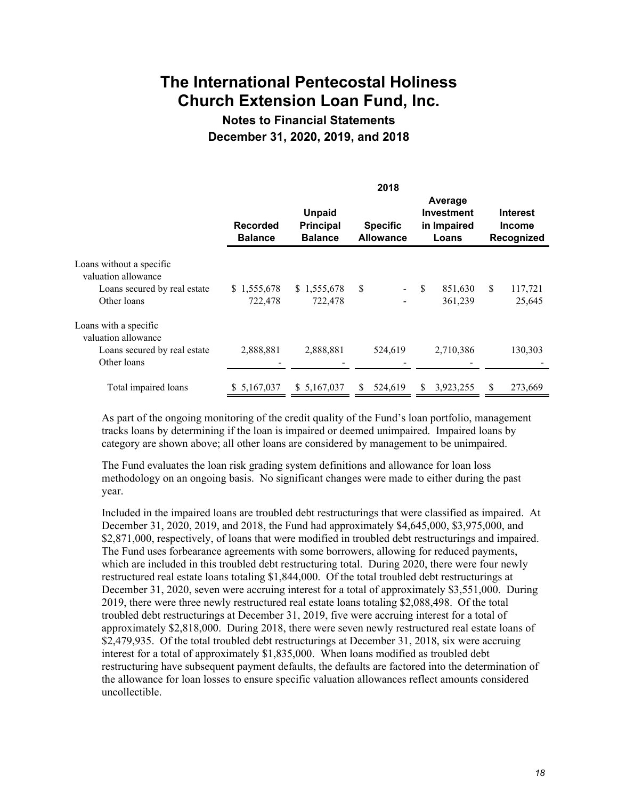## **Notes to Financial Statements December 31, 2020, 2019, and 2018**

|                                                                                             |                                   |                                                     | 2018                                |                                               |                                                |
|---------------------------------------------------------------------------------------------|-----------------------------------|-----------------------------------------------------|-------------------------------------|-----------------------------------------------|------------------------------------------------|
|                                                                                             | <b>Recorded</b><br><b>Balance</b> | <b>Unpaid</b><br><b>Principal</b><br><b>Balance</b> | <b>Specific</b><br><b>Allowance</b> | Average<br>Investment<br>in Impaired<br>Loans | <b>Interest</b><br><b>Income</b><br>Recognized |
| Loans without a specific<br>valuation allowance                                             |                                   |                                                     |                                     |                                               |                                                |
| Loans secured by real estate<br>Other loans                                                 | \$1,555,678<br>722,478            | \$1,555,678<br>722,478                              | <sup>\$</sup>                       | \$<br>851,630<br>361,239                      | <sup>\$</sup><br>117,721<br>25,645             |
| Loans with a specific<br>valuation allowance<br>Loans secured by real estate<br>Other loans | 2,888,881                         | 2,888,881                                           | 524,619                             | 2,710,386                                     | 130,303                                        |
| Total impaired loans                                                                        | \$5,167,037                       | \$5,167,037                                         | 524,619<br>S.                       | 3,923,255                                     | S<br>273,669                                   |

As part of the ongoing monitoring of the credit quality of the Fund's loan portfolio, management tracks loans by determining if the loan is impaired or deemed unimpaired. Impaired loans by category are shown above; all other loans are considered by management to be unimpaired.

The Fund evaluates the loan risk grading system definitions and allowance for loan loss methodology on an ongoing basis. No significant changes were made to either during the past year.

Included in the impaired loans are troubled debt restructurings that were classified as impaired. At December 31, 2020, 2019, and 2018, the Fund had approximately \$4,645,000, \$3,975,000, and \$2,871,000, respectively, of loans that were modified in troubled debt restructurings and impaired. The Fund uses forbearance agreements with some borrowers, allowing for reduced payments, which are included in this troubled debt restructuring total. During 2020, there were four newly restructured real estate loans totaling \$1,844,000. Of the total troubled debt restructurings at December 31, 2020, seven were accruing interest for a total of approximately \$3,551,000. During 2019, there were three newly restructured real estate loans totaling \$2,088,498. Of the total troubled debt restructurings at December 31, 2019, five were accruing interest for a total of approximately \$2,818,000. During 2018, there were seven newly restructured real estate loans of \$2,479,935. Of the total troubled debt restructurings at December 31, 2018, six were accruing interest for a total of approximately \$1,835,000. When loans modified as troubled debt restructuring have subsequent payment defaults, the defaults are factored into the determination of the allowance for loan losses to ensure specific valuation allowances reflect amounts considered uncollectible.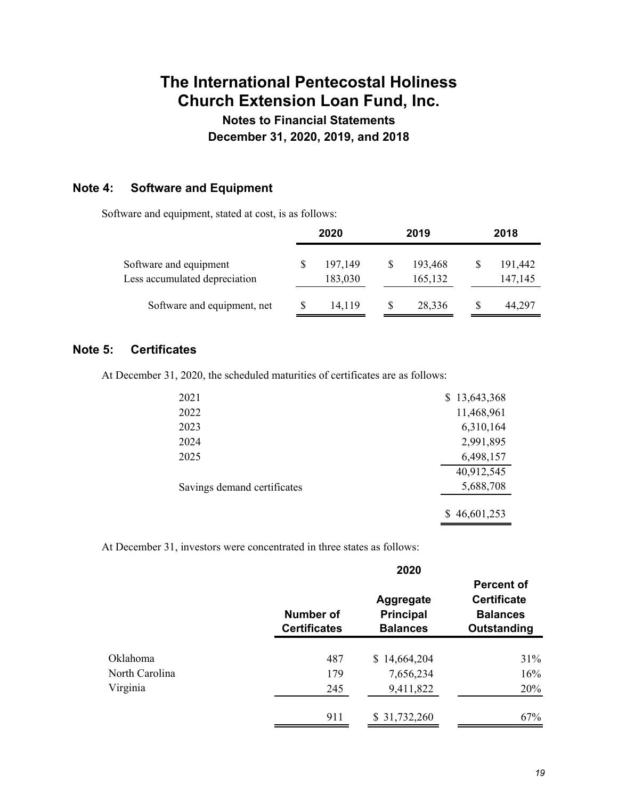## **Notes to Financial Statements December 31, 2020, 2019, and 2018**

### **Note 4: Software and Equipment**

Software and equipment, stated at cost, is as follows:

|                                                         |  | 2020               | 2019               | 2018               |
|---------------------------------------------------------|--|--------------------|--------------------|--------------------|
| Software and equipment<br>Less accumulated depreciation |  | 197,149<br>183,030 | 193,468<br>165,132 | 191,442<br>147,145 |
| Software and equipment, net                             |  | 14,119             | 28,336             | 44,297             |

### **Note 5: Certificates**

At December 31, 2020, the scheduled maturities of certificates are as follows:

| 2021                        | \$13,643,368     |
|-----------------------------|------------------|
| 2022                        | 11,468,961       |
| 2023                        | 6,310,164        |
| 2024                        | 2,991,895        |
| 2025                        | 6,498,157        |
|                             | 40,912,545       |
| Savings demand certificates | 5,688,708        |
|                             | 46,601,253<br>S. |

At December 31, investors were concentrated in three states as follows:

|                |                                         | 2020                                                    |                                                                           |
|----------------|-----------------------------------------|---------------------------------------------------------|---------------------------------------------------------------------------|
|                | <b>Number of</b><br><b>Certificates</b> | <b>Aggregate</b><br><b>Principal</b><br><b>Balances</b> | <b>Percent of</b><br><b>Certificate</b><br><b>Balances</b><br>Outstanding |
| Oklahoma       | 487                                     | \$14,664,204                                            | 31%                                                                       |
| North Carolina | 179                                     | 7,656,234                                               | 16%                                                                       |
| Virginia       | 245                                     | 9,411,822                                               | 20%                                                                       |
|                | 911                                     | \$31,732,260                                            | 67%                                                                       |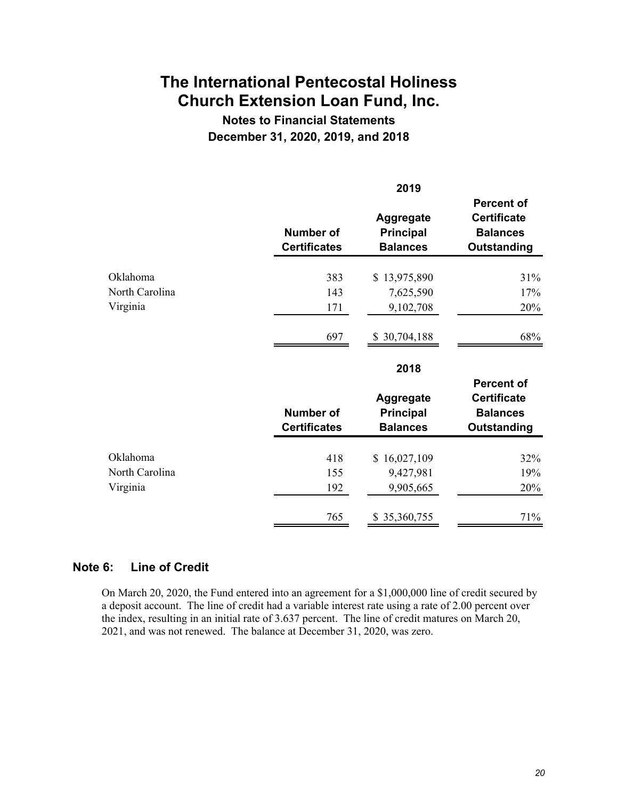**Notes to Financial Statements December 31, 2020, 2019, and 2018** 

|                |                                         | 2019                                                    |                                                                                  |
|----------------|-----------------------------------------|---------------------------------------------------------|----------------------------------------------------------------------------------|
|                | <b>Number of</b><br><b>Certificates</b> | <b>Aggregate</b><br><b>Principal</b><br><b>Balances</b> | <b>Percent of</b><br><b>Certificate</b><br><b>Balances</b><br>Outstanding        |
| Oklahoma       | 383                                     | \$13,975,890                                            | 31%                                                                              |
| North Carolina | 143                                     | 7,625,590                                               | 17%                                                                              |
| Virginia       | 171                                     | 9,102,708                                               | 20%                                                                              |
|                | 697                                     | \$30,704,188                                            | 68%                                                                              |
|                |                                         | 2018                                                    |                                                                                  |
|                | <b>Number of</b><br><b>Certificates</b> | <b>Aggregate</b><br><b>Principal</b><br><b>Balances</b> | <b>Percent of</b><br><b>Certificate</b><br><b>Balances</b><br><b>Outstanding</b> |
| Oklahoma       | 418                                     | \$16,027,109                                            | 32%                                                                              |
| North Carolina | 155                                     | 9,427,981                                               | 19%                                                                              |
| Virginia       | 192                                     | 9,905,665                                               | 20%                                                                              |
|                | 765                                     | \$35,360,755                                            | 71%                                                                              |

### **Note 6: Line of Credit**

On March 20, 2020, the Fund entered into an agreement for a \$1,000,000 line of credit secured by a deposit account. The line of credit had a variable interest rate using a rate of 2.00 percent over the index, resulting in an initial rate of 3.637 percent. The line of credit matures on March 20, 2021, and was not renewed. The balance at December 31, 2020, was zero.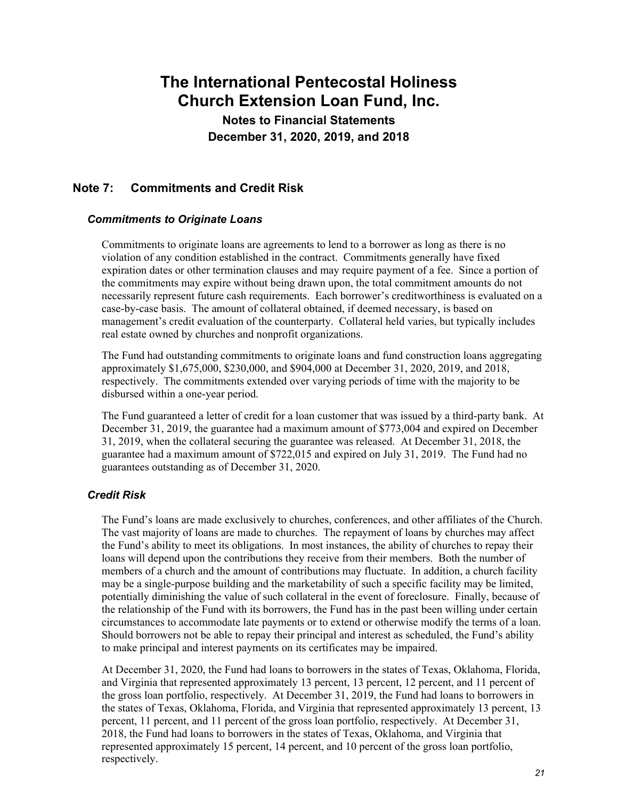**Notes to Financial Statements December 31, 2020, 2019, and 2018** 

### **Note 7: Commitments and Credit Risk**

#### *Commitments to Originate Loans*

Commitments to originate loans are agreements to lend to a borrower as long as there is no violation of any condition established in the contract. Commitments generally have fixed expiration dates or other termination clauses and may require payment of a fee. Since a portion of the commitments may expire without being drawn upon, the total commitment amounts do not necessarily represent future cash requirements. Each borrower's creditworthiness is evaluated on a case-by-case basis. The amount of collateral obtained, if deemed necessary, is based on management's credit evaluation of the counterparty. Collateral held varies, but typically includes real estate owned by churches and nonprofit organizations.

The Fund had outstanding commitments to originate loans and fund construction loans aggregating approximately \$1,675,000, \$230,000, and \$904,000 at December 31, 2020, 2019, and 2018, respectively. The commitments extended over varying periods of time with the majority to be disbursed within a one-year period.

The Fund guaranteed a letter of credit for a loan customer that was issued by a third-party bank. At December 31, 2019, the guarantee had a maximum amount of \$773,004 and expired on December 31, 2019, when the collateral securing the guarantee was released. At December 31, 2018, the guarantee had a maximum amount of \$722,015 and expired on July 31, 2019. The Fund had no guarantees outstanding as of December 31, 2020.

### *Credit Risk*

The Fund's loans are made exclusively to churches, conferences, and other affiliates of the Church. The vast majority of loans are made to churches. The repayment of loans by churches may affect the Fund's ability to meet its obligations. In most instances, the ability of churches to repay their loans will depend upon the contributions they receive from their members. Both the number of members of a church and the amount of contributions may fluctuate. In addition, a church facility may be a single-purpose building and the marketability of such a specific facility may be limited, potentially diminishing the value of such collateral in the event of foreclosure. Finally, because of the relationship of the Fund with its borrowers, the Fund has in the past been willing under certain circumstances to accommodate late payments or to extend or otherwise modify the terms of a loan. Should borrowers not be able to repay their principal and interest as scheduled, the Fund's ability to make principal and interest payments on its certificates may be impaired.

At December 31, 2020, the Fund had loans to borrowers in the states of Texas, Oklahoma, Florida, and Virginia that represented approximately 13 percent, 13 percent, 12 percent, and 11 percent of the gross loan portfolio, respectively. At December 31, 2019, the Fund had loans to borrowers in the states of Texas, Oklahoma, Florida, and Virginia that represented approximately 13 percent, 13 percent, 11 percent, and 11 percent of the gross loan portfolio, respectively. At December 31, 2018, the Fund had loans to borrowers in the states of Texas, Oklahoma, and Virginia that represented approximately 15 percent, 14 percent, and 10 percent of the gross loan portfolio, respectively.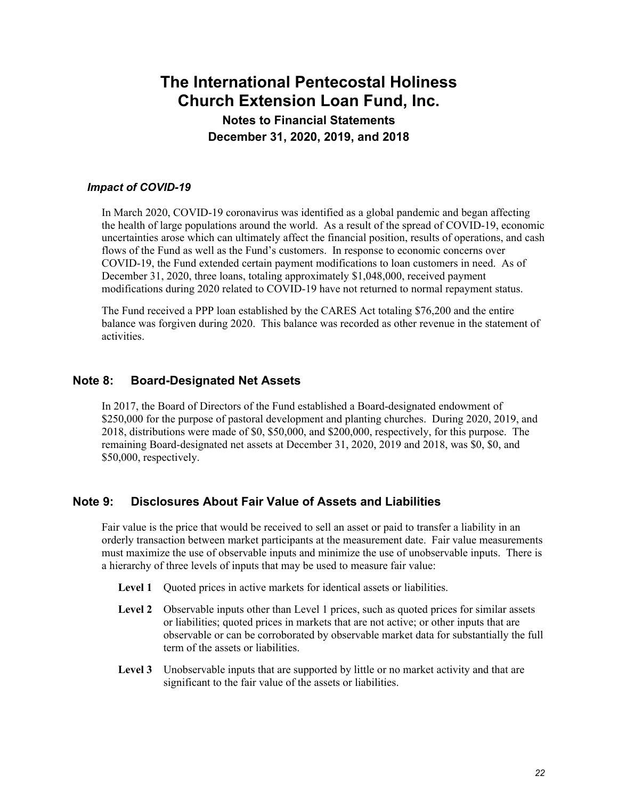**Notes to Financial Statements December 31, 2020, 2019, and 2018** 

### *Impact of COVID-19*

In March 2020, COVID-19 coronavirus was identified as a global pandemic and began affecting the health of large populations around the world. As a result of the spread of COVID-19, economic uncertainties arose which can ultimately affect the financial position, results of operations, and cash flows of the Fund as well as the Fund's customers. In response to economic concerns over COVID-19, the Fund extended certain payment modifications to loan customers in need. As of December 31, 2020, three loans, totaling approximately \$1,048,000, received payment modifications during 2020 related to COVID-19 have not returned to normal repayment status.

The Fund received a PPP loan established by the CARES Act totaling \$76,200 and the entire balance was forgiven during 2020. This balance was recorded as other revenue in the statement of activities.

### **Note 8: Board-Designated Net Assets**

In 2017, the Board of Directors of the Fund established a Board-designated endowment of \$250,000 for the purpose of pastoral development and planting churches. During 2020, 2019, and 2018, distributions were made of \$0, \$50,000, and \$200,000, respectively, for this purpose. The remaining Board-designated net assets at December 31, 2020, 2019 and 2018, was \$0, \$0, and \$50,000, respectively.

### **Note 9: Disclosures About Fair Value of Assets and Liabilities**

Fair value is the price that would be received to sell an asset or paid to transfer a liability in an orderly transaction between market participants at the measurement date. Fair value measurements must maximize the use of observable inputs and minimize the use of unobservable inputs. There is a hierarchy of three levels of inputs that may be used to measure fair value:

**Level 1** Quoted prices in active markets for identical assets or liabilities.

- **Level 2** Observable inputs other than Level 1 prices, such as quoted prices for similar assets or liabilities; quoted prices in markets that are not active; or other inputs that are observable or can be corroborated by observable market data for substantially the full term of the assets or liabilities.
- **Level 3** Unobservable inputs that are supported by little or no market activity and that are significant to the fair value of the assets or liabilities.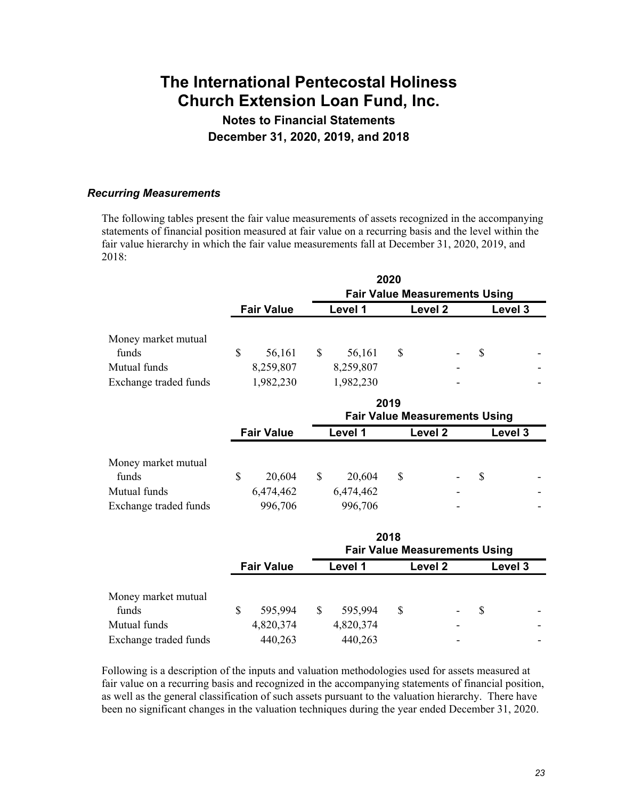**Notes to Financial Statements December 31, 2020, 2019, and 2018** 

#### *Recurring Measurements*

The following tables present the fair value measurements of assets recognized in the accompanying statements of financial position measured at fair value on a recurring basis and the level within the fair value hierarchy in which the fair value measurements fall at December 31, 2020, 2019, and 2018:

|                              |              |                   |              |           | 2020         |                                      |               |         |
|------------------------------|--------------|-------------------|--------------|-----------|--------------|--------------------------------------|---------------|---------|
|                              |              |                   |              |           |              | <b>Fair Value Measurements Using</b> |               |         |
|                              |              | <b>Fair Value</b> |              | Level 1   |              | Level <sub>2</sub>                   |               | Level 3 |
| Money market mutual<br>funds | \$           | 56,161            | $\mathbb{S}$ | 56,161    | $\mathbb{S}$ |                                      | \$            |         |
| Mutual funds                 |              | 8,259,807         |              | 8,259,807 |              |                                      |               |         |
| Exchange traded funds        |              | 1,982,230         |              | 1,982,230 |              |                                      |               |         |
|                              |              |                   |              |           | 2019         |                                      |               |         |
|                              |              |                   |              |           |              | <b>Fair Value Measurements Using</b> |               |         |
|                              |              | <b>Fair Value</b> |              | Level 1   |              | Level <sub>2</sub>                   |               | Level 3 |
| Money market mutual<br>funds | $\mathbb{S}$ | 20,604            | $\mathbb{S}$ | 20,604    | $\mathbb{S}$ |                                      | $\mathcal{S}$ |         |
| Mutual funds                 |              | 6,474,462         |              | 6,474,462 |              |                                      |               |         |
| Exchange traded funds        |              | 996,706           |              | 996,706   |              |                                      |               |         |
|                              |              |                   |              |           | 2018         | <b>Fair Value Measurements Using</b> |               |         |
|                              |              | <b>Fair Value</b> |              | Level 1   |              | Level <sub>2</sub>                   |               | Level 3 |
|                              |              |                   |              |           |              |                                      |               |         |
| Money market mutual          |              |                   |              |           |              |                                      |               |         |
| funds                        | $\mathbb{S}$ | 595,994           | $\mathbb{S}$ | 595,994   | \$           |                                      | \$            |         |
| Mutual funds                 |              | 4,820,374         |              | 4,820,374 |              |                                      |               |         |

Following is a description of the inputs and valuation methodologies used for assets measured at fair value on a recurring basis and recognized in the accompanying statements of financial position, as well as the general classification of such assets pursuant to the valuation hierarchy. There have been no significant changes in the valuation techniques during the year ended December 31, 2020.

Exchange traded funds  $440,263$   $440,263$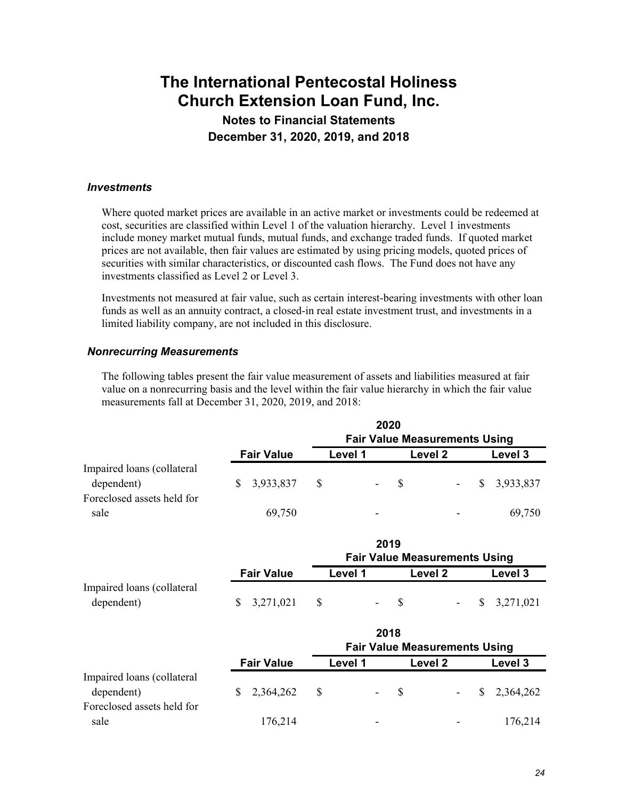## **Notes to Financial Statements December 31, 2020, 2019, and 2018**

### *Investments*

Where quoted market prices are available in an active market or investments could be redeemed at cost, securities are classified within Level 1 of the valuation hierarchy. Level 1 investments include money market mutual funds, mutual funds, and exchange traded funds. If quoted market prices are not available, then fair values are estimated by using pricing models, quoted prices of securities with similar characteristics, or discounted cash flows. The Fund does not have any investments classified as Level 2 or Level 3.

Investments not measured at fair value, such as certain interest-bearing investments with other loan funds as well as an annuity contract, a closed-in real estate investment trust, and investments in a limited liability company, are not included in this disclosure.

#### *Nonrecurring Measurements*

The following tables present the fair value measurement of assets and liabilities measured at fair value on a nonrecurring basis and the level within the fair value hierarchy in which the fair value measurements fall at December 31, 2020, 2019, and 2018:

|                            |    |                   | 2020<br><b>Fair Value Measurements Using</b> |                          |    |                          |         |             |
|----------------------------|----|-------------------|----------------------------------------------|--------------------------|----|--------------------------|---------|-------------|
|                            |    | <b>Fair Value</b> |                                              | Level 1<br>Level 2       |    |                          | Level 3 |             |
| Impaired loans (collateral |    |                   |                                              |                          |    |                          |         |             |
| dependent)                 | S. | 3,933,837         |                                              | $\overline{\phantom{a}}$ | -S | $\blacksquare$           |         | \$3,933,837 |
| Foreclosed assets held for |    |                   |                                              |                          |    |                          |         |             |
| sale                       |    | 69,750            |                                              | $\overline{\phantom{0}}$ |    | $\overline{\phantom{0}}$ |         | 69,750      |

|                            |                   |         | 2019 |                                      |                  |  |
|----------------------------|-------------------|---------|------|--------------------------------------|------------------|--|
|                            |                   |         |      | <b>Fair Value Measurements Using</b> |                  |  |
|                            | <b>Fair Value</b> | Level 1 |      | Level 2                              | Level 3          |  |
| Impaired loans (collateral |                   |         |      |                                      |                  |  |
| dependent)                 | \$3,271,021       |         | ۰.   | -SS                                  | $-$ \$ 3,271,021 |  |

|                                          |                        |                    | 2018                     | <b>Fair Value Measurements Using</b> |         |  |                  |
|------------------------------------------|------------------------|--------------------|--------------------------|--------------------------------------|---------|--|------------------|
|                                          | <b>Fair Value</b>      | Level 1<br>Level 2 |                          |                                      | Level 3 |  |                  |
| Impaired loans (collateral<br>dependent) | $\frac{\$}{2,364,262}$ | -S                 | $\sim$ $ \sim$           | - \$                                 |         |  | $-$ \$ 2,364,262 |
| Foreclosed assets held for<br>sale       | 176,214                |                    | $\overline{\phantom{0}}$ |                                      |         |  | 176,214          |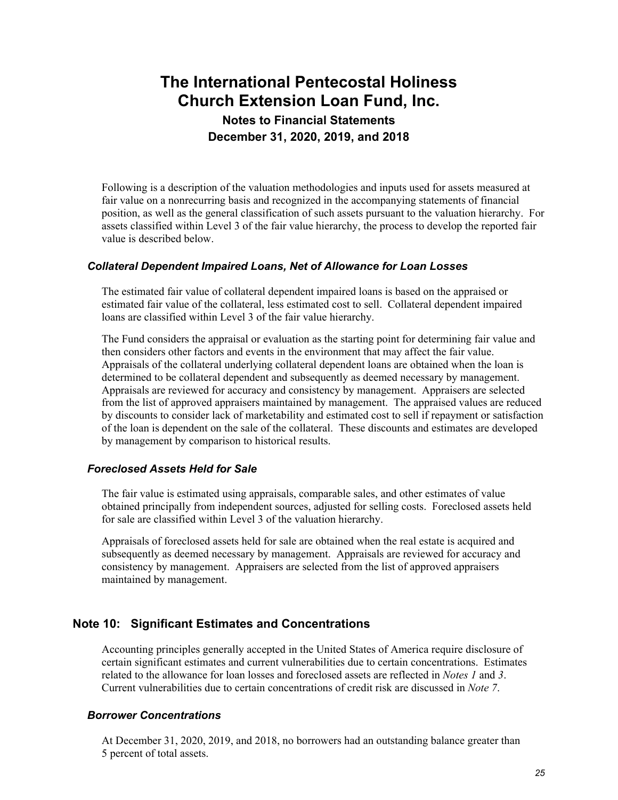## **The International Pentecostal Holiness Church Extension Loan Fund, Inc. Notes to Financial Statements December 31, 2020, 2019, and 2018**

Following is a description of the valuation methodologies and inputs used for assets measured at fair value on a nonrecurring basis and recognized in the accompanying statements of financial position, as well as the general classification of such assets pursuant to the valuation hierarchy. For assets classified within Level 3 of the fair value hierarchy, the process to develop the reported fair value is described below.

#### *Collateral Dependent Impaired Loans, Net of Allowance for Loan Losses*

The estimated fair value of collateral dependent impaired loans is based on the appraised or estimated fair value of the collateral, less estimated cost to sell. Collateral dependent impaired loans are classified within Level 3 of the fair value hierarchy.

The Fund considers the appraisal or evaluation as the starting point for determining fair value and then considers other factors and events in the environment that may affect the fair value. Appraisals of the collateral underlying collateral dependent loans are obtained when the loan is determined to be collateral dependent and subsequently as deemed necessary by management. Appraisals are reviewed for accuracy and consistency by management. Appraisers are selected from the list of approved appraisers maintained by management. The appraised values are reduced by discounts to consider lack of marketability and estimated cost to sell if repayment or satisfaction of the loan is dependent on the sale of the collateral. These discounts and estimates are developed by management by comparison to historical results.

#### *Foreclosed Assets Held for Sale*

The fair value is estimated using appraisals, comparable sales, and other estimates of value obtained principally from independent sources, adjusted for selling costs. Foreclosed assets held for sale are classified within Level 3 of the valuation hierarchy.

Appraisals of foreclosed assets held for sale are obtained when the real estate is acquired and subsequently as deemed necessary by management. Appraisals are reviewed for accuracy and consistency by management. Appraisers are selected from the list of approved appraisers maintained by management.

### **Note 10: Significant Estimates and Concentrations**

Accounting principles generally accepted in the United States of America require disclosure of certain significant estimates and current vulnerabilities due to certain concentrations. Estimates related to the allowance for loan losses and foreclosed assets are reflected in *Notes 1* and *3*. Current vulnerabilities due to certain concentrations of credit risk are discussed in *Note 7*.

#### *Borrower Concentrations*

At December 31, 2020, 2019, and 2018, no borrowers had an outstanding balance greater than 5 percent of total assets.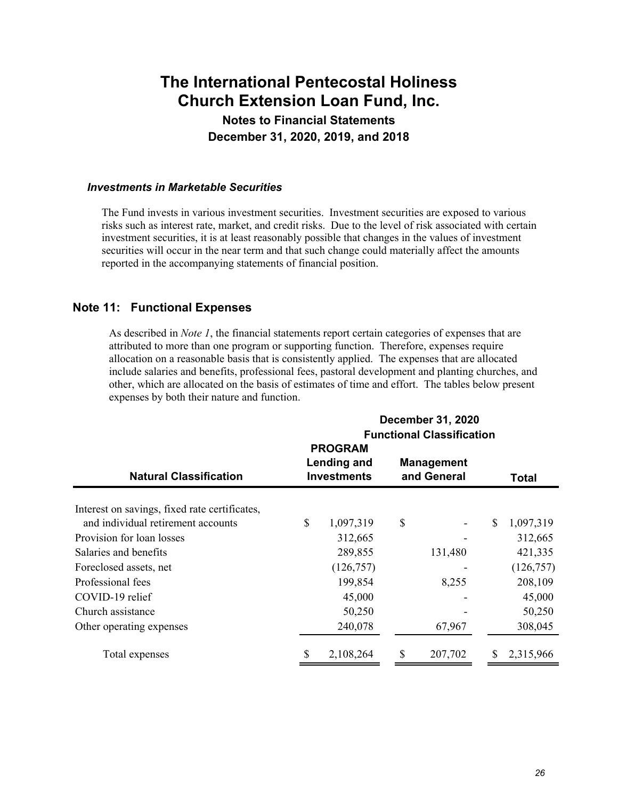**Notes to Financial Statements December 31, 2020, 2019, and 2018** 

#### *Investments in Marketable Securities*

The Fund invests in various investment securities. Investment securities are exposed to various risks such as interest rate, market, and credit risks. Due to the level of risk associated with certain investment securities, it is at least reasonably possible that changes in the values of investment securities will occur in the near term and that such change could materially affect the amounts reported in the accompanying statements of financial position.

### **Note 11: Functional Expenses**

As described in *Note 1*, the financial statements report certain categories of expenses that are attributed to more than one program or supporting function. Therefore, expenses require allocation on a reasonable basis that is consistently applied. The expenses that are allocated include salaries and benefits, professional fees, pastoral development and planting churches, and other, which are allocated on the basis of estimates of time and effort. The tables below present expenses by both their nature and function.

**December 31, 2020**

|                                               | <b>December 31, 2020</b><br><b>Functional Classification</b><br><b>PROGRAM</b> |           |              |         |    |           |  |  |  |
|-----------------------------------------------|--------------------------------------------------------------------------------|-----------|--------------|---------|----|-----------|--|--|--|
| <b>Natural Classification</b>                 | Lending and<br><b>Investments</b>                                              |           | <b>Total</b> |         |    |           |  |  |  |
| Interest on savings, fixed rate certificates, |                                                                                |           |              |         |    |           |  |  |  |
| and individual retirement accounts            | \$                                                                             | 1,097,319 | \$           |         | \$ | 1,097,319 |  |  |  |
| Provision for loan losses                     |                                                                                | 312,665   |              |         |    | 312,665   |  |  |  |
| Salaries and benefits                         |                                                                                | 289,855   |              | 131,480 |    | 421,335   |  |  |  |
| Foreclosed assets, net                        |                                                                                | (126,757) |              |         |    | (126,757) |  |  |  |
| Professional fees                             |                                                                                | 199,854   |              | 8,255   |    | 208,109   |  |  |  |
| COVID-19 relief                               |                                                                                | 45,000    |              |         |    | 45,000    |  |  |  |
| Church assistance                             |                                                                                | 50,250    |              |         |    | 50,250    |  |  |  |
| Other operating expenses                      |                                                                                | 240,078   |              | 67,967  |    | 308,045   |  |  |  |
| Total expenses                                |                                                                                | 2,108,264 | S            | 207,702 |    | 2,315,966 |  |  |  |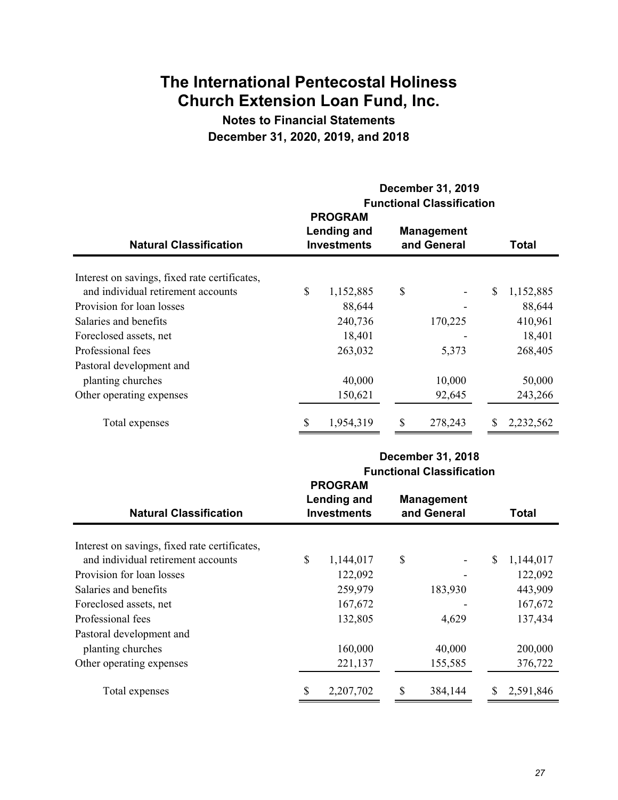**Notes to Financial Statements December 31, 2020, 2019, and 2018** 

| <b>Natural Classification</b>                 | <b>December 31, 2019</b><br><b>Functional Classification</b><br><b>PROGRAM</b> |           |                                  |         |       |           |
|-----------------------------------------------|--------------------------------------------------------------------------------|-----------|----------------------------------|---------|-------|-----------|
|                                               | <b>Lending and</b><br><b>Investments</b>                                       |           | <b>Management</b><br>and General |         | Total |           |
| Interest on savings, fixed rate certificates, |                                                                                |           |                                  |         |       |           |
| and individual retirement accounts            | \$                                                                             | 1,152,885 | \$                               |         | \$    | 1,152,885 |
| Provision for loan losses                     |                                                                                | 88,644    |                                  |         |       | 88,644    |
| Salaries and benefits                         |                                                                                | 240,736   |                                  | 170,225 |       | 410,961   |
| Foreclosed assets, net                        |                                                                                | 18,401    |                                  |         |       | 18,401    |
| Professional fees                             |                                                                                | 263,032   |                                  | 5,373   |       | 268,405   |
| Pastoral development and                      |                                                                                |           |                                  |         |       |           |
| planting churches                             |                                                                                | 40,000    |                                  | 10,000  |       | 50,000    |
| Other operating expenses                      |                                                                                | 150,621   |                                  | 92,645  |       | 243,266   |
| Total expenses                                |                                                                                | 1,954,319 | \$                               | 278,243 |       | 2,232,562 |
|                                               |                                                                                |           |                                  |         |       |           |

|                                               | <b>December 31, 2018</b><br><b>Functional Classification</b><br><b>PROGRAM</b> |           |                                  |         |    |           |  |
|-----------------------------------------------|--------------------------------------------------------------------------------|-----------|----------------------------------|---------|----|-----------|--|
| <b>Natural Classification</b>                 | <b>Lending and</b><br><b>Investments</b>                                       |           | <b>Management</b><br>and General |         |    | Total     |  |
| Interest on savings, fixed rate certificates, |                                                                                |           |                                  |         |    |           |  |
| and individual retirement accounts            | \$                                                                             | 1,144,017 | \$                               |         | \$ | 1,144,017 |  |
| Provision for loan losses                     |                                                                                | 122,092   |                                  |         |    | 122,092   |  |
| Salaries and benefits                         |                                                                                | 259,979   |                                  | 183,930 |    | 443,909   |  |
| Foreclosed assets, net                        |                                                                                | 167,672   |                                  |         |    | 167,672   |  |
| Professional fees                             |                                                                                | 132,805   |                                  | 4,629   |    | 137,434   |  |
| Pastoral development and                      |                                                                                |           |                                  |         |    |           |  |
| planting churches                             |                                                                                | 160,000   |                                  | 40,000  |    | 200,000   |  |
| Other operating expenses                      |                                                                                | 221,137   |                                  | 155,585 |    | 376,722   |  |
| Total expenses                                | \$                                                                             | 2,207,702 | \$                               | 384,144 | S. | 2,591,846 |  |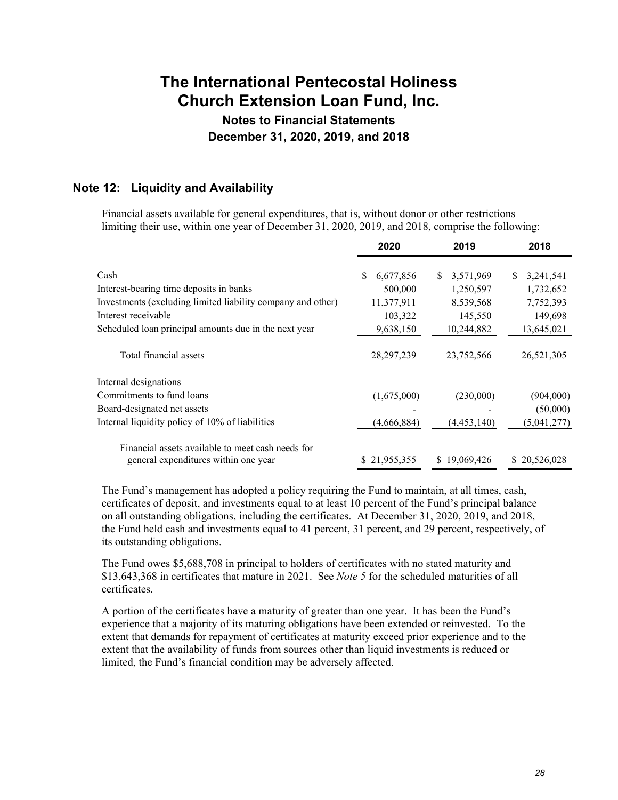## **Notes to Financial Statements December 31, 2020, 2019, and 2018**

### **Note 12: Liquidity and Availability**

Financial assets available for general expenditures, that is, without donor or other restrictions limiting their use, within one year of December 31, 2020, 2019, and 2018, comprise the following:

|                                                             | 2020            | 2019            | 2018            |
|-------------------------------------------------------------|-----------------|-----------------|-----------------|
| Cash                                                        | \$<br>6,677,856 | 3,571,969<br>S. | 3,241,541<br>S. |
| Interest-bearing time deposits in banks                     | 500,000         | 1,250,597       | 1,732,652       |
| Investments (excluding limited liability company and other) | 11,377,911      | 8,539,568       | 7,752,393       |
| Interest receivable                                         | 103,322         | 145,550         | 149,698         |
| Scheduled loan principal amounts due in the next year       | 9,638,150       | 10,244,882      | 13,645,021      |
| Total financial assets                                      | 28, 297, 239    | 23,752,566      | 26,521,305      |
| Internal designations                                       |                 |                 |                 |
| Commitments to fund loans                                   | (1,675,000)     | (230,000)       | (904,000)       |
| Board-designated net assets                                 |                 |                 | $(50,\!000)$    |
| Internal liquidity policy of 10% of liabilities             | (4,666,884)     | (4,453,140)     | (5,041,277)     |
| Financial assets available to meet cash needs for           |                 |                 |                 |
| general expenditures within one year                        | \$21,955,355    | \$19,069,426    | \$20,526,028    |

The Fund's management has adopted a policy requiring the Fund to maintain, at all times, cash, certificates of deposit, and investments equal to at least 10 percent of the Fund's principal balance on all outstanding obligations, including the certificates. At December 31, 2020, 2019, and 2018, the Fund held cash and investments equal to 41 percent, 31 percent, and 29 percent, respectively, of its outstanding obligations.

The Fund owes \$5,688,708 in principal to holders of certificates with no stated maturity and \$13,643,368 in certificates that mature in 2021. See *Note 5* for the scheduled maturities of all certificates.

A portion of the certificates have a maturity of greater than one year. It has been the Fund's experience that a majority of its maturing obligations have been extended or reinvested. To the extent that demands for repayment of certificates at maturity exceed prior experience and to the extent that the availability of funds from sources other than liquid investments is reduced or limited, the Fund's financial condition may be adversely affected.